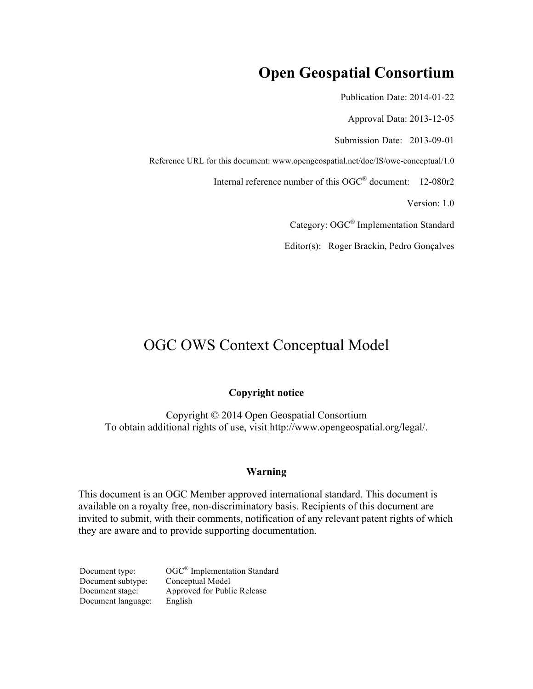# **Open Geospatial Consortium**

Publication Date: 2014-01-22

Approval Data: 2013-12-05

Submission Date: 2013-09-01

Reference URL for this document: www.opengeospatial.net/doc/IS/owc-conceptual/1.0

Internal reference number of this OGC® document: 12-080r2

Version: 1.0

Category: OGC® Implementation Standard

Editor(s): Roger Brackin, Pedro Gonçalves

# OGC OWS Context Conceptual Model

#### **Copyright notice**

Copyright © 2014 Open Geospatial Consortium To obtain additional rights of use, visit http://www.opengeospatial.org/legal/.

#### **Warning**

This document is an OGC Member approved international standard. This document is available on a royalty free, non-discriminatory basis. Recipients of this document are invited to submit, with their comments, notification of any relevant patent rights of which they are aware and to provide supporting documentation.

Document type:  $OGC^{\circledast}$  Implementation Standard Document subtype: Conceptual Model Document stage: Approved for Public Release Document language: English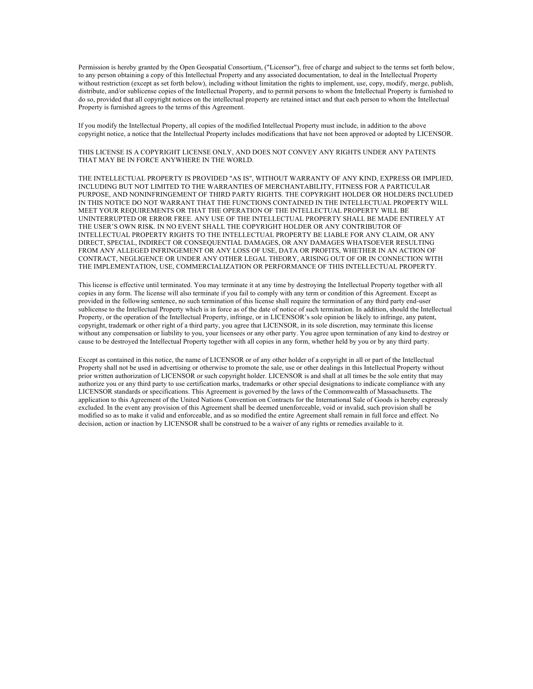Permission is hereby granted by the Open Geospatial Consortium, ("Licensor"), free of charge and subject to the terms set forth below, to any person obtaining a copy of this Intellectual Property and any associated documentation, to deal in the Intellectual Property without restriction (except as set forth below), including without limitation the rights to implement, use, copy, modify, merge, publish, distribute, and/or sublicense copies of the Intellectual Property, and to permit persons to whom the Intellectual Property is furnished to do so, provided that all copyright notices on the intellectual property are retained intact and that each person to whom the Intellectual Property is furnished agrees to the terms of this Agreement.

If you modify the Intellectual Property, all copies of the modified Intellectual Property must include, in addition to the above copyright notice, a notice that the Intellectual Property includes modifications that have not been approved or adopted by LICENSOR.

THIS LICENSE IS A COPYRIGHT LICENSE ONLY, AND DOES NOT CONVEY ANY RIGHTS UNDER ANY PATENTS THAT MAY BE IN FORCE ANYWHERE IN THE WORLD.

THE INTELLECTUAL PROPERTY IS PROVIDED "AS IS", WITHOUT WARRANTY OF ANY KIND, EXPRESS OR IMPLIED, INCLUDING BUT NOT LIMITED TO THE WARRANTIES OF MERCHANTABILITY, FITNESS FOR A PARTICULAR PURPOSE, AND NONINFRINGEMENT OF THIRD PARTY RIGHTS. THE COPYRIGHT HOLDER OR HOLDERS INCLUDED IN THIS NOTICE DO NOT WARRANT THAT THE FUNCTIONS CONTAINED IN THE INTELLECTUAL PROPERTY WILL MEET YOUR REQUIREMENTS OR THAT THE OPERATION OF THE INTELLECTUAL PROPERTY WILL BE UNINTERRUPTED OR ERROR FREE. ANY USE OF THE INTELLECTUAL PROPERTY SHALL BE MADE ENTIRELY AT THE USER'S OWN RISK. IN NO EVENT SHALL THE COPYRIGHT HOLDER OR ANY CONTRIBUTOR OF INTELLECTUAL PROPERTY RIGHTS TO THE INTELLECTUAL PROPERTY BE LIABLE FOR ANY CLAIM, OR ANY DIRECT, SPECIAL, INDIRECT OR CONSEQUENTIAL DAMAGES, OR ANY DAMAGES WHATSOEVER RESULTING FROM ANY ALLEGED INFRINGEMENT OR ANY LOSS OF USE, DATA OR PROFITS, WHETHER IN AN ACTION OF CONTRACT, NEGLIGENCE OR UNDER ANY OTHER LEGAL THEORY, ARISING OUT OF OR IN CONNECTION WITH THE IMPLEMENTATION, USE, COMMERCIALIZATION OR PERFORMANCE OF THIS INTELLECTUAL PROPERTY.

This license is effective until terminated. You may terminate it at any time by destroying the Intellectual Property together with all copies in any form. The license will also terminate if you fail to comply with any term or condition of this Agreement. Except as provided in the following sentence, no such termination of this license shall require the termination of any third party end-user sublicense to the Intellectual Property which is in force as of the date of notice of such termination. In addition, should the Intellectual Property, or the operation of the Intellectual Property, infringe, or in LICENSOR's sole opinion be likely to infringe, any patent, copyright, trademark or other right of a third party, you agree that LICENSOR, in its sole discretion, may terminate this license without any compensation or liability to you, your licensees or any other party. You agree upon termination of any kind to destroy or cause to be destroyed the Intellectual Property together with all copies in any form, whether held by you or by any third party.

Except as contained in this notice, the name of LICENSOR or of any other holder of a copyright in all or part of the Intellectual Property shall not be used in advertising or otherwise to promote the sale, use or other dealings in this Intellectual Property without prior written authorization of LICENSOR or such copyright holder. LICENSOR is and shall at all times be the sole entity that may authorize you or any third party to use certification marks, trademarks or other special designations to indicate compliance with any LICENSOR standards or specifications. This Agreement is governed by the laws of the Commonwealth of Massachusetts. The application to this Agreement of the United Nations Convention on Contracts for the International Sale of Goods is hereby expressly excluded. In the event any provision of this Agreement shall be deemed unenforceable, void or invalid, such provision shall be modified so as to make it valid and enforceable, and as so modified the entire Agreement shall remain in full force and effect. No decision, action or inaction by LICENSOR shall be construed to be a waiver of any rights or remedies available to it.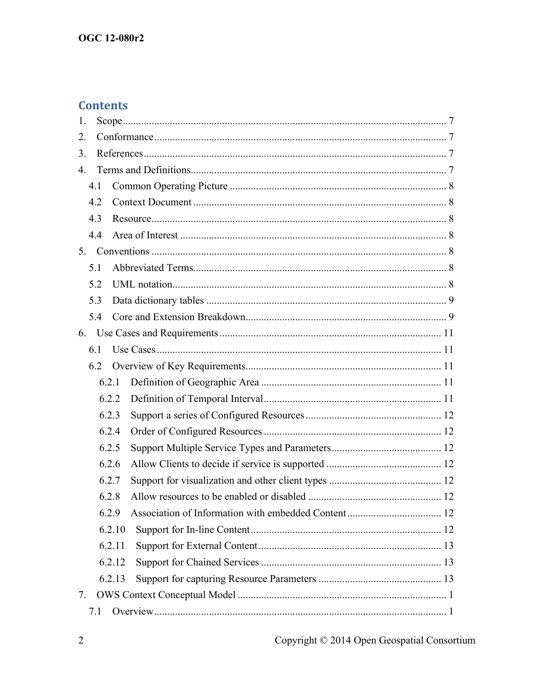# **Contents**

| 1.               |  |
|------------------|--|
| 2.               |  |
| 3.               |  |
| $\overline{4}$ . |  |
| 4.1              |  |
| 4.2              |  |
| 4.3              |  |
| 4.4              |  |
| 5 <sub>1</sub>   |  |
| 5.1              |  |
| 5.2              |  |
| 5.3              |  |
| 5.4              |  |
| 6.               |  |
| 6.1              |  |
| 6.2              |  |
| 6.2.1            |  |
| 6.2.2            |  |
| 6.2.3            |  |
| 6.2.4            |  |
| 6.2.5            |  |
| 6.2.6            |  |
| 6.2.7            |  |
| 6.2.8            |  |
| 6.2.9            |  |
| 6.2.10           |  |
| 6.2.11           |  |
| 6.2.12           |  |
| 6.2.13           |  |
| 7.               |  |
| 7.1              |  |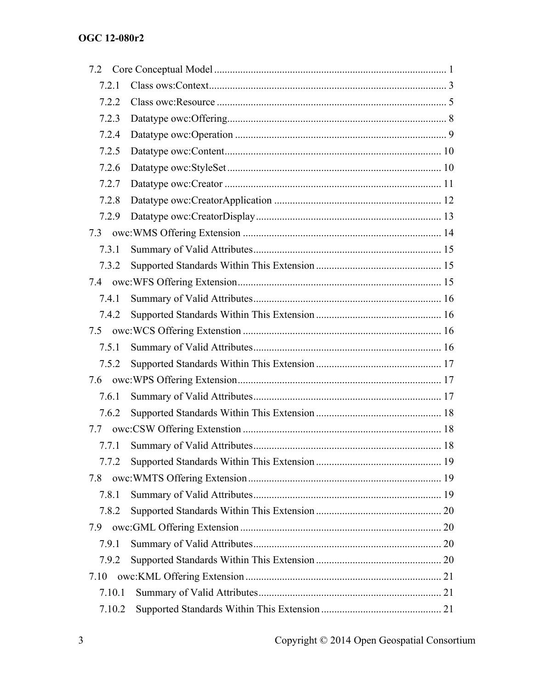| 7.2.1  |  |
|--------|--|
| 7.2.2  |  |
| 7.2.3  |  |
| 7.2.4  |  |
| 7.2.5  |  |
| 7.2.6  |  |
| 7.2.7  |  |
| 7.2.8  |  |
| 7.2.9  |  |
|        |  |
| 7.3.1  |  |
| 7.3.2  |  |
|        |  |
| 7.4.1  |  |
| 7.4.2  |  |
|        |  |
| 7.5.1  |  |
| 7.5.2  |  |
|        |  |
| 7.6.1  |  |
| 7.6.2  |  |
|        |  |
| 7.7.1  |  |
| 7.7.2  |  |
| 7.8    |  |
| 7.8.1  |  |
| 7.8.2  |  |
|        |  |
| 7.9.1  |  |
| 7.9.2  |  |
| 7.10   |  |
| 7.10.1 |  |
| 7.10.2 |  |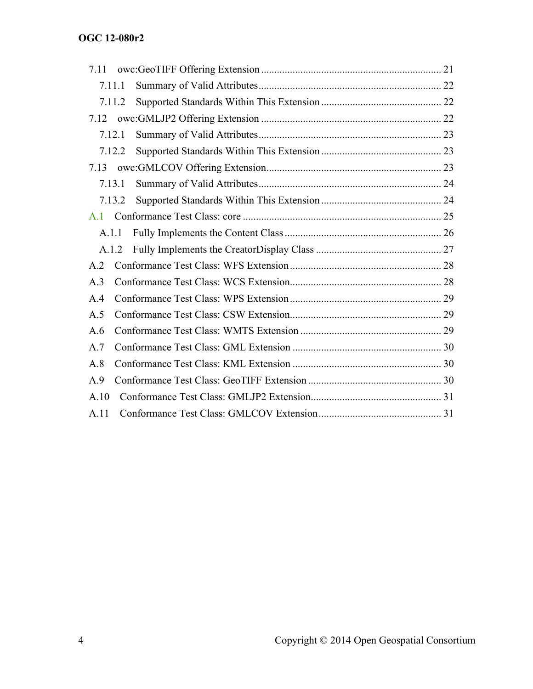| 7.11           |        |  |
|----------------|--------|--|
| 7.11.1         |        |  |
|                | 7.11.2 |  |
| 7.12           |        |  |
| 7.12.1         |        |  |
|                | 7.12.2 |  |
| 7.13           |        |  |
| 7.13.1         |        |  |
|                | 7.13.2 |  |
| $\mathbf{A}$ 1 |        |  |
| A.1.1          |        |  |
| A.1.2          |        |  |
| A.2            |        |  |
| A.3            |        |  |
| A.4            |        |  |
| A.5            |        |  |
| A.6            |        |  |
| A.7            |        |  |
| A.8            |        |  |
| A.9            |        |  |
| A.10           |        |  |
| A.11           |        |  |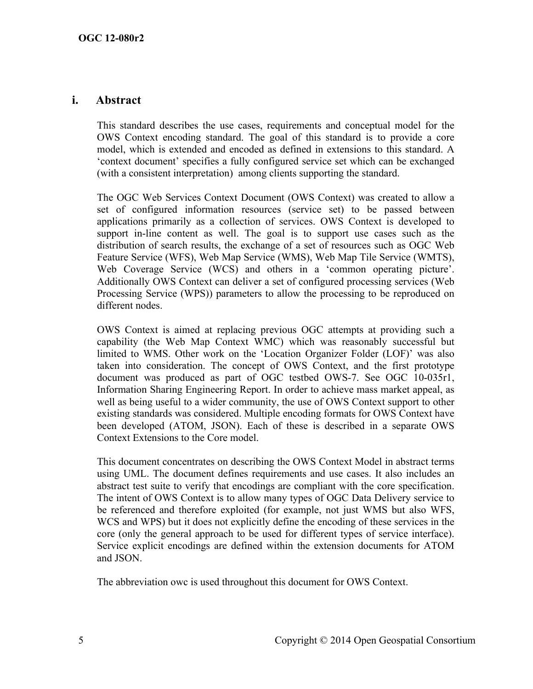#### **i. Abstract**

This standard describes the use cases, requirements and conceptual model for the OWS Context encoding standard. The goal of this standard is to provide a core model, which is extended and encoded as defined in extensions to this standard. A 'context document' specifies a fully configured service set which can be exchanged (with a consistent interpretation) among clients supporting the standard.

The OGC Web Services Context Document (OWS Context) was created to allow a set of configured information resources (service set) to be passed between applications primarily as a collection of services. OWS Context is developed to support in-line content as well. The goal is to support use cases such as the distribution of search results, the exchange of a set of resources such as OGC Web Feature Service (WFS), Web Map Service (WMS), Web Map Tile Service (WMTS), Web Coverage Service (WCS) and others in a 'common operating picture'. Additionally OWS Context can deliver a set of configured processing services (Web Processing Service (WPS)) parameters to allow the processing to be reproduced on different nodes.

OWS Context is aimed at replacing previous OGC attempts at providing such a capability (the Web Map Context WMC) which was reasonably successful but limited to WMS. Other work on the 'Location Organizer Folder (LOF)' was also taken into consideration. The concept of OWS Context, and the first prototype document was produced as part of OGC testbed OWS-7. See OGC 10-035r1, Information Sharing Engineering Report. In order to achieve mass market appeal, as well as being useful to a wider community, the use of OWS Context support to other existing standards was considered. Multiple encoding formats for OWS Context have been developed (ATOM, JSON). Each of these is described in a separate OWS Context Extensions to the Core model.

This document concentrates on describing the OWS Context Model in abstract terms using UML. The document defines requirements and use cases. It also includes an abstract test suite to verify that encodings are compliant with the core specification. The intent of OWS Context is to allow many types of OGC Data Delivery service to be referenced and therefore exploited (for example, not just WMS but also WFS, WCS and WPS) but it does not explicitly define the encoding of these services in the core (only the general approach to be used for different types of service interface). Service explicit encodings are defined within the extension documents for ATOM and JSON.

The abbreviation owc is used throughout this document for OWS Context.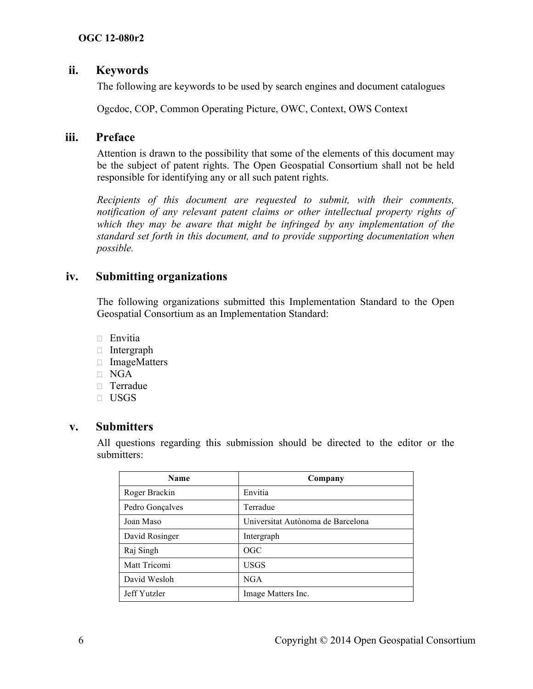# **ii. Keywords**

The following are keywords to be used by search engines and document catalogues

Ogcdoc, COP, Common Operating Picture, OWC, Context, OWS Context

#### **iii. Preface**

Attention is drawn to the possibility that some of the elements of this document may be the subject of patent rights. The Open Geospatial Consortium shall not be held responsible for identifying any or all such patent rights.

*Recipients of this document are requested to submit, with their comments, notification of any relevant patent claims or other intellectual property rights of which they may be aware that might be infringed by any implementation of the standard set forth in this document, and to provide supporting documentation when possible.*

# **iv. Submitting organizations**

The following organizations submitted this Implementation Standard to the Open Geospatial Consortium as an Implementation Standard:

- $\Box$  Envitia
- Intergraph
- ImageMatters
- $\neg$  NGA
- Terradue
- USGS

# **v. Submitters**

All questions regarding this submission should be directed to the editor or the submitters:

| Name            | Company                           |
|-----------------|-----------------------------------|
| Roger Brackin   | Envitia                           |
| Pedro Gonçalves | Terradue                          |
| Joan Maso       | Universitat Autònoma de Barcelona |
| David Rosinger  | Intergraph                        |
| Raj Singh       | <b>OGC</b>                        |
| Matt Tricomi    | <b>USGS</b>                       |
| David Wesloh    | <b>NGA</b>                        |
| Jeff Yutzler    | Image Matters Inc.                |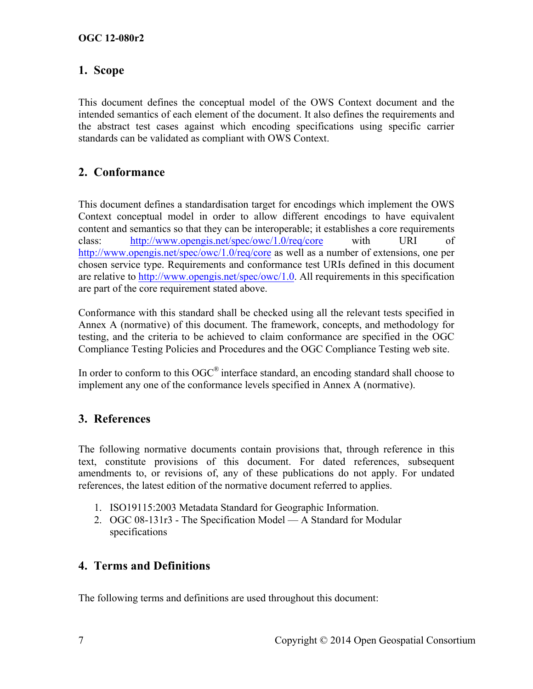# **1. Scope**

This document defines the conceptual model of the OWS Context document and the intended semantics of each element of the document. It also defines the requirements and the abstract test cases against which encoding specifications using specific carrier standards can be validated as compliant with OWS Context.

# **2. Conformance**

This document defines a standardisation target for encodings which implement the OWS Context conceptual model in order to allow different encodings to have equivalent content and semantics so that they can be interoperable; it establishes a core requirements class: http://www.opengis.net/spec/owc/1.0/req/core with URI of http://www.opengis.net/spec/owc/1.0/req/core as well as a number of extensions, one per chosen service type. Requirements and conformance test URIs defined in this document are relative to http://www.opengis.net/spec/owc/1.0. All requirements in this specification are part of the core requirement stated above.

Conformance with this standard shall be checked using all the relevant tests specified in Annex A (normative) of this document. The framework, concepts, and methodology for testing, and the criteria to be achieved to claim conformance are specified in the OGC Compliance Testing Policies and Procedures and the OGC Compliance Testing web site.

In order to conform to this OGC<sup>®</sup> interface standard, an encoding standard shall choose to implement any one of the conformance levels specified in Annex A (normative).

# **3. References**

The following normative documents contain provisions that, through reference in this text, constitute provisions of this document. For dated references, subsequent amendments to, or revisions of, any of these publications do not apply. For undated references, the latest edition of the normative document referred to applies.

- 1. ISO19115:2003 Metadata Standard for Geographic Information.
- 2. OGC 08-131r3 The Specification Model A Standard for Modular specifications

# **4. Terms and Definitions**

The following terms and definitions are used throughout this document: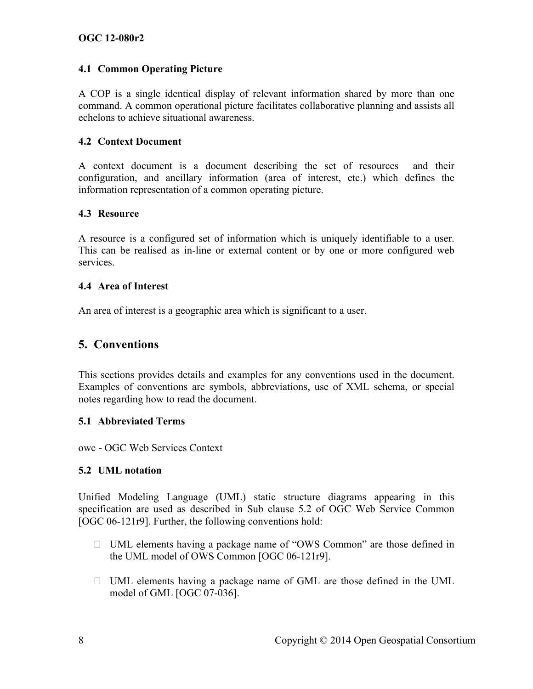#### **4.1 Common Operating Picture**

A COP is a single identical display of relevant information shared by more than one command. A common operational picture facilitates collaborative planning and assists all echelons to achieve situational awareness.

#### **4.2 Context Document**

A context document is a document describing the set of resources and their configuration, and ancillary information (area of interest, etc.) which defines the information representation of a common operating picture.

#### **4.3 Resource**

A resource is a configured set of information which is uniquely identifiable to a user. This can be realised as in-line or external content or by one or more configured web services.

#### **4.4 Area of Interest**

An area of interest is a geographic area which is significant to a user.

# **5. Conventions**

This sections provides details and examples for any conventions used in the document. Examples of conventions are symbols, abbreviations, use of XML schema, or special notes regarding how to read the document.

#### **5.1 Abbreviated Terms**

owc - OGC Web Services Context

#### **5.2 UML notation**

Unified Modeling Language (UML) static structure diagrams appearing in this specification are used as described in Sub clause 5.2 of OGC Web Service Common [OGC 06-121r9]. Further, the following conventions hold:

- UML elements having a package name of "OWS Common" are those defined in the UML model of OWS Common [OGC 06-121r9].
- $\Box$  UML elements having a package name of GML are those defined in the UML model of GML [OGC 07-036].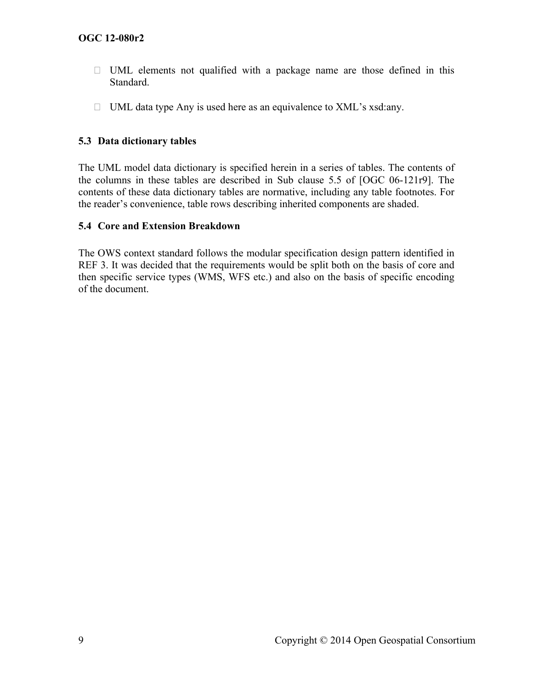- $\Box$  UML elements not qualified with a package name are those defined in this Standard.
- $\Box$  UML data type Any is used here as an equivalence to XML's xsd:any.

#### **5.3 Data dictionary tables**

The UML model data dictionary is specified herein in a series of tables. The contents of the columns in these tables are described in Sub clause 5.5 of [OGC 06-121r9]. The contents of these data dictionary tables are normative, including any table footnotes. For the reader's convenience, table rows describing inherited components are shaded.

#### **5.4 Core and Extension Breakdown**

The OWS context standard follows the modular specification design pattern identified in REF 3. It was decided that the requirements would be split both on the basis of core and then specific service types (WMS, WFS etc.) and also on the basis of specific encoding of the document.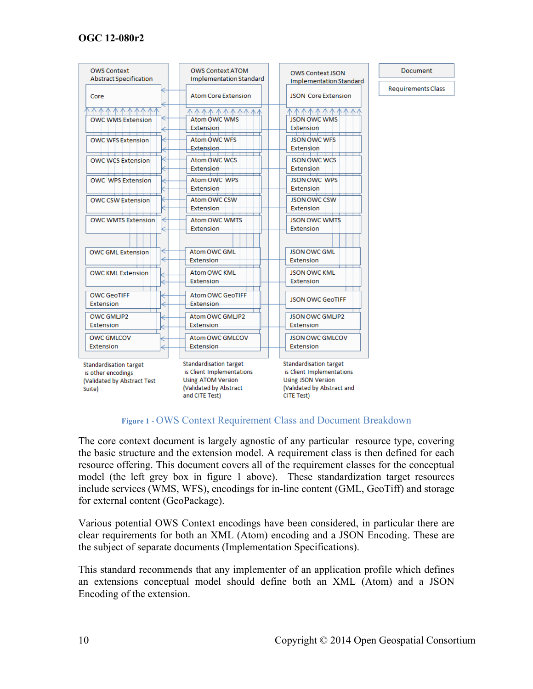| <b>OWS Context</b><br><b>Abstract Specification</b> | <b>OWS Context ATOM</b><br><b>Implementation Standard</b> | <b>OWS Context JSON</b>                                | <b>Document</b>           |
|-----------------------------------------------------|-----------------------------------------------------------|--------------------------------------------------------|---------------------------|
|                                                     |                                                           | <b>Implementation Standard</b>                         |                           |
| Core                                                | <b>Atom Core Extension</b>                                | <b>JSON Core Extension</b>                             | <b>Requirements Class</b> |
|                                                     | 小小小小 小小小小小                                                |                                                        |                           |
| <b>OWC WMS Extension</b>                            | Atom OWC WMS                                              | <b>JSON OWC WMS</b>                                    |                           |
|                                                     | <b>Extension</b>                                          | <b>Extension</b>                                       |                           |
| <b>OWC WFS Extension</b>                            | Atom OWC WFS                                              | <b>JSON OWC WFS</b>                                    |                           |
|                                                     | <b>Extension</b>                                          | Extension                                              |                           |
| <b>OWC WCS Extension</b>                            | Atom OWC WCS                                              | JSON OWC WCS                                           |                           |
|                                                     | Extension                                                 | Extension                                              |                           |
| <b>OWC WPS Extension</b>                            | Atom OWC WPS                                              | <b>JSON OWC WPS</b>                                    |                           |
|                                                     | Extension                                                 | Extension                                              |                           |
|                                                     | Atom OWC CSW                                              | <b>JSON OWC CSW</b>                                    |                           |
| <b>OWC CSW Extension</b>                            | <b>Extension</b>                                          | Extension                                              |                           |
|                                                     |                                                           |                                                        |                           |
| <b>OWC WMTS Extension</b>                           | <b>Atom OWC WMTS</b>                                      | <b>JSON OWC WMTS</b>                                   |                           |
|                                                     | Extension                                                 | Extension                                              |                           |
|                                                     |                                                           |                                                        |                           |
| <b>OWC GML Extension</b>                            | Atom OWC GML                                              | <b>JSON OWC GML</b>                                    |                           |
|                                                     | Extension                                                 | <b>Extension</b>                                       |                           |
| <b>OWC KML Extension</b>                            | Atom OWC KML                                              | <b>JSON OWC KML</b>                                    |                           |
|                                                     | <b>Extension</b>                                          | <b>Extension</b>                                       |                           |
|                                                     |                                                           |                                                        |                           |
| <b>OWC GeoTIFF</b><br><b>Extension</b>              | Atom OWC GeoTIFF<br><b>Extension</b>                      | <b>JSON OWC GeoTIFF</b>                                |                           |
|                                                     |                                                           |                                                        |                           |
| OWC GMUP2                                           | Atom OWC GMLJP2                                           | <b>JSON OWC GMLIP2</b>                                 |                           |
| Extension                                           | <b>Extension</b>                                          | Extension                                              |                           |
| <b>OWC GMLCOV</b>                                   | Atom OWC GMLCOV                                           | <b>JSON OWC GMLCOV</b>                                 |                           |
| Extension                                           | <b>Extension</b>                                          | Extension                                              |                           |
|                                                     |                                                           |                                                        |                           |
| Standardisation target                              | Standardisation target                                    | Standardisation target                                 |                           |
| is other encodings<br>(Validated by Abstract Test   | is Client Implementations<br><b>Using ATOM Version</b>    | is Client Implementations<br><b>Using JSON Version</b> |                           |
| Suite)                                              | (Validated by Abstract                                    | (Validated by Abstract and                             |                           |
|                                                     | and CITE Test)                                            | CITE Test)                                             |                           |
|                                                     |                                                           |                                                        |                           |



The core context document is largely agnostic of any particular resource type, covering the basic structure and the extension model. A requirement class is then defined for each resource offering. This document covers all of the requirement classes for the conceptual model (the left grey box in figure 1 above). These standardization target resources include services (WMS, WFS), encodings for in-line content (GML, GeoTiff) and storage for external content (GeoPackage).

Various potential OWS Context encodings have been considered, in particular there are clear requirements for both an XML (Atom) encoding and a JSON Encoding. These are the subject of separate documents (Implementation Specifications).

This standard recommends that any implementer of an application profile which defines an extensions conceptual model should define both an XML (Atom) and a JSON Encoding of the extension.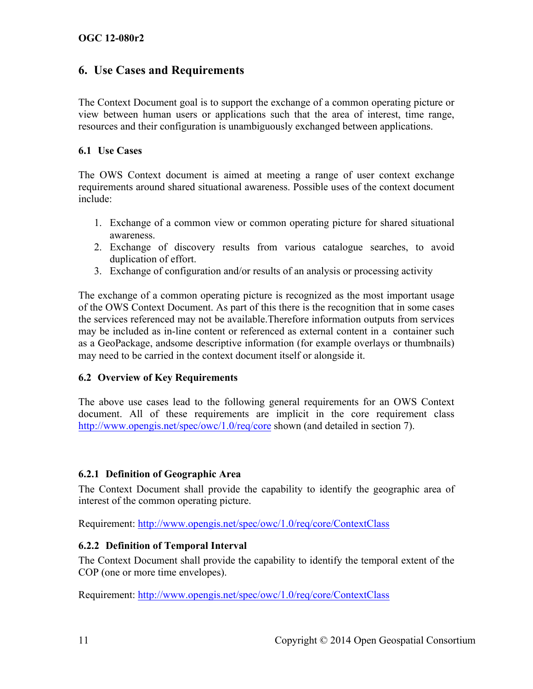# **6. Use Cases and Requirements**

The Context Document goal is to support the exchange of a common operating picture or view between human users or applications such that the area of interest, time range, resources and their configuration is unambiguously exchanged between applications.

#### **6.1 Use Cases**

The OWS Context document is aimed at meeting a range of user context exchange requirements around shared situational awareness. Possible uses of the context document include:

- 1. Exchange of a common view or common operating picture for shared situational awareness.
- 2. Exchange of discovery results from various catalogue searches, to avoid duplication of effort.
- 3. Exchange of configuration and/or results of an analysis or processing activity

The exchange of a common operating picture is recognized as the most important usage of the OWS Context Document. As part of this there is the recognition that in some cases the services referenced may not be available.Therefore information outputs from services may be included as in-line content or referenced as external content in a container such as a GeoPackage, andsome descriptive information (for example overlays or thumbnails) may need to be carried in the context document itself or alongside it.

#### **6.2 Overview of Key Requirements**

The above use cases lead to the following general requirements for an OWS Context document. All of these requirements are implicit in the core requirement class http://www.opengis.net/spec/owc/1.0/req/core shown (and detailed in section 7).

#### **6.2.1 Definition of Geographic Area**

The Context Document shall provide the capability to identify the geographic area of interest of the common operating picture.

Requirement: http://www.opengis.net/spec/owc/1.0/req/core/ContextClass

# **6.2.2 Definition of Temporal Interval**

The Context Document shall provide the capability to identify the temporal extent of the COP (one or more time envelopes).

Requirement: http://www.opengis.net/spec/owc/1.0/req/core/ContextClass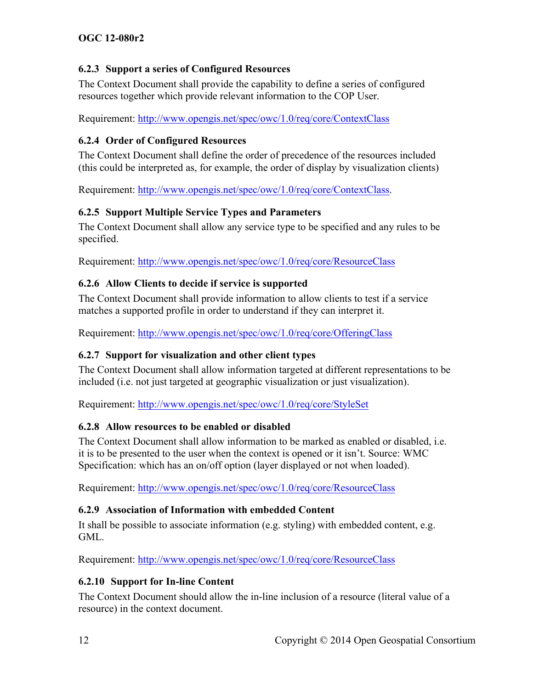# **6.2.3 Support a series of Configured Resources**

The Context Document shall provide the capability to define a series of configured resources together which provide relevant information to the COP User.

Requirement: http://www.opengis.net/spec/owc/1.0/req/core/ContextClass

#### **6.2.4 Order of Configured Resources**

The Context Document shall define the order of precedence of the resources included (this could be interpreted as, for example, the order of display by visualization clients)

Requirement: http://www.opengis.net/spec/owc/1.0/req/core/ContextClass.

# **6.2.5 Support Multiple Service Types and Parameters**

The Context Document shall allow any service type to be specified and any rules to be specified.

Requirement: http://www.opengis.net/spec/owc/1.0/req/core/ResourceClass

# **6.2.6 Allow Clients to decide if service is supported**

The Context Document shall provide information to allow clients to test if a service matches a supported profile in order to understand if they can interpret it.

Requirement: http://www.opengis.net/spec/owc/1.0/req/core/OfferingClass

# **6.2.7 Support for visualization and other client types**

The Context Document shall allow information targeted at different representations to be included (i.e. not just targeted at geographic visualization or just visualization).

Requirement: http://www.opengis.net/spec/owc/1.0/req/core/StyleSet

# **6.2.8 Allow resources to be enabled or disabled**

The Context Document shall allow information to be marked as enabled or disabled, i.e. it is to be presented to the user when the context is opened or it isn't. Source: WMC Specification: which has an on/off option (layer displayed or not when loaded).

Requirement: http://www.opengis.net/spec/owc/1.0/req/core/ResourceClass

# **6.2.9 Association of Information with embedded Content**

It shall be possible to associate information (e.g. styling) with embedded content, e.g. GML.

Requirement: http://www.opengis.net/spec/owc/1.0/req/core/ResourceClass

# **6.2.10 Support for In-line Content**

The Context Document should allow the in-line inclusion of a resource (literal value of a resource) in the context document.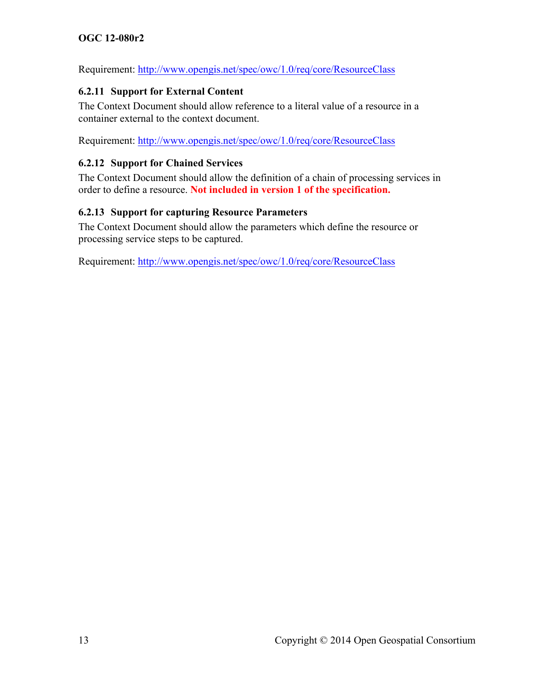Requirement: http://www.opengis.net/spec/owc/1.0/req/core/ResourceClass

#### **6.2.11 Support for External Content**

The Context Document should allow reference to a literal value of a resource in a container external to the context document.

Requirement: http://www.opengis.net/spec/owc/1.0/req/core/ResourceClass

#### **6.2.12 Support for Chained Services**

The Context Document should allow the definition of a chain of processing services in order to define a resource. **Not included in version 1 of the specification.**

#### **6.2.13 Support for capturing Resource Parameters**

The Context Document should allow the parameters which define the resource or processing service steps to be captured.

Requirement: http://www.opengis.net/spec/owc/1.0/req/core/ResourceClass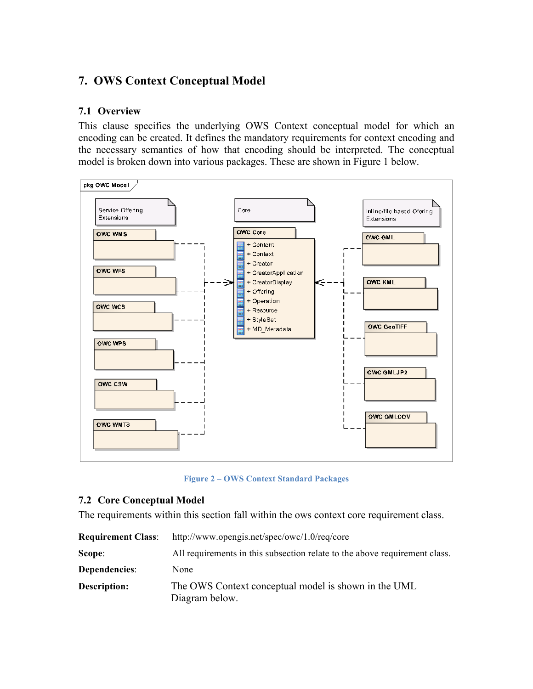# **7. OWS Context Conceptual Model**

#### **7.1 Overview**

This clause specifies the underlying OWS Context conceptual model for which an encoding can be created. It defines the mandatory requirements for context encoding and the necessary semantics of how that encoding should be interpreted. The conceptual model is broken down into various packages. These are shown in Figure 1 below.



**Figure 2 – OWS Context Standard Packages**

#### **7.2 Core Conceptual Model**

The requirements within this section fall within the ows context core requirement class.

| <b>Requirement Class:</b> | http://www.opengis.net/spec/owc/1.0/req/core                               |
|---------------------------|----------------------------------------------------------------------------|
| Scope:                    | All requirements in this subsection relate to the above requirement class. |
| Dependencies:             | None                                                                       |
| Description:              | The OWS Context conceptual model is shown in the UML<br>Diagram below.     |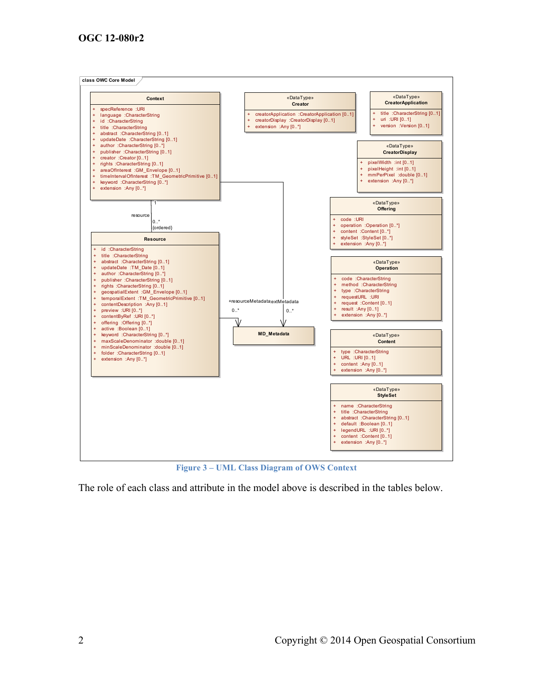

**Figure 3 – UML Class Diagram of OWS Context**

The role of each class and attribute in the model above is described in the tables below.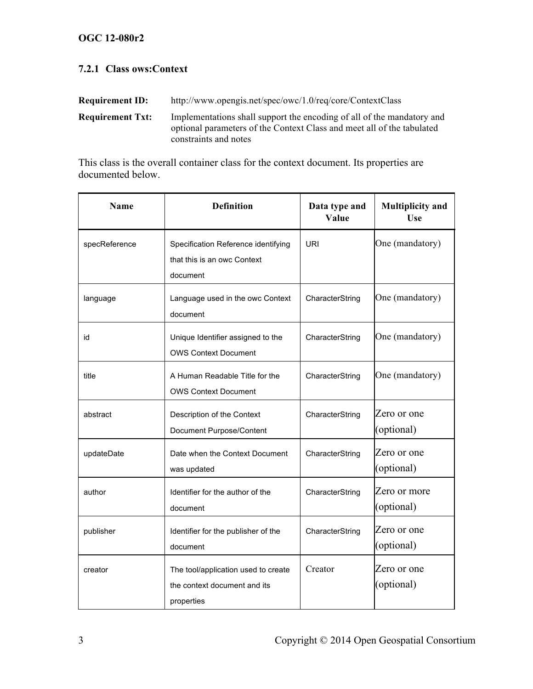# **7.2.1 Class ows:Context**

| <b>Requirement ID:</b>  | http://www.opengis.net/spec/owc/1.0/req/core/ContextClass                                                                                                                 |  |  |
|-------------------------|---------------------------------------------------------------------------------------------------------------------------------------------------------------------------|--|--|
| <b>Requirement Txt:</b> | Implementations shall support the encoding of all of the mandatory and<br>optional parameters of the Context Class and meet all of the tabulated<br>constraints and notes |  |  |

This class is the overall container class for the context document. Its properties are documented below.

| <b>Name</b>   | <b>Definition</b>                                                                 | Data type and<br>Value | <b>Multiplicity and</b><br>Use |
|---------------|-----------------------------------------------------------------------------------|------------------------|--------------------------------|
| specReference | Specification Reference identifying<br>that this is an owc Context<br>document    | <b>URI</b>             | One (mandatory)                |
| language      | Language used in the owc Context<br>document                                      | CharacterString        | One (mandatory)                |
| id            | Unique Identifier assigned to the<br><b>OWS Context Document</b>                  | CharacterString        | One (mandatory)                |
| title         | A Human Readable Title for the<br><b>OWS Context Document</b>                     | CharacterString        | One (mandatory)                |
| abstract      | Description of the Context<br>Document Purpose/Content                            | CharacterString        | Zero or one<br>(optional)      |
| updateDate    | Date when the Context Document<br>was updated                                     | CharacterString        | Zero or one<br>(optional)      |
| author        | Identifier for the author of the<br>document                                      | CharacterString        | Zero or more<br>(optional)     |
| publisher     | Identifier for the publisher of the<br>document                                   | CharacterString        | Zero or one<br>(optional)      |
| creator       | The tool/application used to create<br>the context document and its<br>properties | Creator                | Zero or one<br>(optional)      |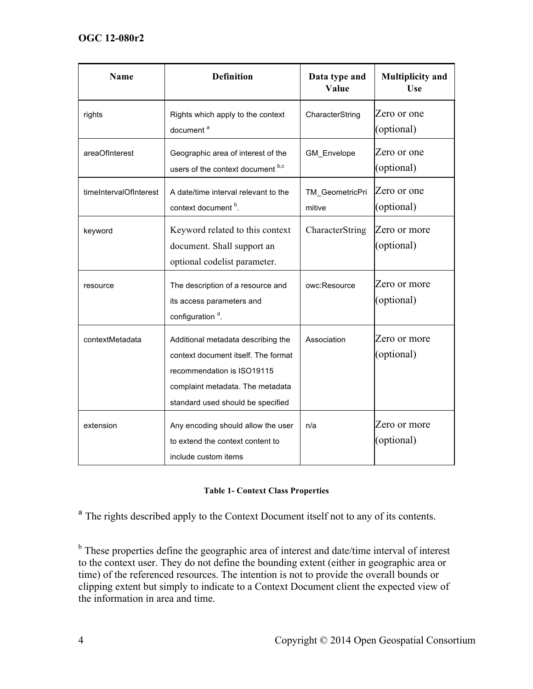| <b>Name</b>            | <b>Definition</b>                                                                                                                                                                | Data type and<br>Value    | <b>Multiplicity and</b><br><b>Use</b> |
|------------------------|----------------------------------------------------------------------------------------------------------------------------------------------------------------------------------|---------------------------|---------------------------------------|
| rights                 | Rights which apply to the context<br>document <sup>a</sup>                                                                                                                       | CharacterString           | Zero or one<br>(optional)             |
| areaOfInterest         | Geographic area of interest of the<br>users of the context document b,c                                                                                                          | GM_Envelope               | Zero or one<br>(optional)             |
| timeIntervalOfInterest | A date/time interval relevant to the<br>context document b.                                                                                                                      | TM GeometricPri<br>mitive | Zero or one<br>(optional)             |
| keyword                | Keyword related to this context<br>document. Shall support an<br>optional codelist parameter.                                                                                    | CharacterString           | Zero or more<br>(optional)            |
| resource               | The description of a resource and<br>its access parameters and<br>configuration <sup>d</sup> .                                                                                   | owc:Resource              | Zero or more<br>(optional)            |
| contextMetadata        | Additional metadata describing the<br>context document itself. The format<br>recommendation is ISO19115<br>complaint metadata. The metadata<br>standard used should be specified | Association               | Zero or more<br>(optional)            |
| extension              | Any encoding should allow the user<br>to extend the context content to<br>include custom items                                                                                   | n/a                       | Zero or more<br>(optional)            |

#### **Table 1- Context Class Properties**

<sup>a</sup> The rights described apply to the Context Document itself not to any of its contents.

 $<sup>b</sup>$  These properties define the geographic area of interest and date/time interval of interest</sup> to the context user. They do not define the bounding extent (either in geographic area or time) of the referenced resources. The intention is not to provide the overall bounds or clipping extent but simply to indicate to a Context Document client the expected view of the information in area and time.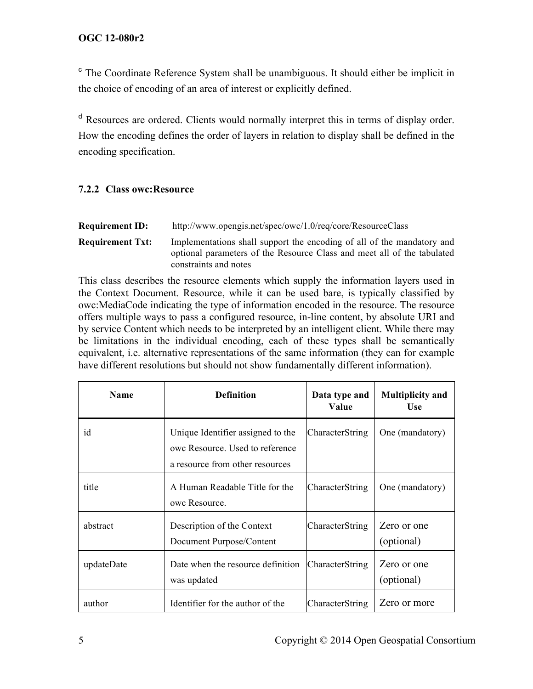<sup>c</sup> The Coordinate Reference System shall be unambiguous. It should either be implicit in the choice of encoding of an area of interest or explicitly defined.

<sup>d</sup> Resources are ordered. Clients would normally interpret this in terms of display order. How the encoding defines the order of layers in relation to display shall be defined in the encoding specification.

#### **7.2.2 Class owc:Resource**

| <b>Requirement ID:</b> | http://www.opengis.net/spec/owc/1.0/req/core/ResourceClass |  |
|------------------------|------------------------------------------------------------|--|
|                        |                                                            |  |

**Requirement Txt:** Implementations shall support the encoding of all of the mandatory and optional parameters of the Resource Class and meet all of the tabulated constraints and notes

This class describes the resource elements which supply the information layers used in the Context Document. Resource, while it can be used bare, is typically classified by owc:MediaCode indicating the type of information encoded in the resource. The resource offers multiple ways to pass a configured resource, in-line content, by absolute URI and by service Content which needs to be interpreted by an intelligent client. While there may be limitations in the individual encoding, each of these types shall be semantically equivalent, i.e. alternative representations of the same information (they can for example have different resolutions but should not show fundamentally different information).

| Name       | <b>Definition</b>                                                                                       | Data type and<br>Value | <b>Multiplicity and</b><br><b>Use</b> |
|------------|---------------------------------------------------------------------------------------------------------|------------------------|---------------------------------------|
| id         | Unique Identifier assigned to the<br>owe Resource. Used to reference<br>a resource from other resources | CharacterString        | One (mandatory)                       |
| title      | A Human Readable Title for the<br>owe Resource.                                                         | CharacterString        | One (mandatory)                       |
| abstract   | Description of the Context<br>Document Purpose/Content                                                  | CharacterString        | Zero or one<br>(optional)             |
| updateDate | Date when the resource definition<br>was updated                                                        | <b>CharacterString</b> | Zero or one<br>(optional)             |
| author     | Identifier for the author of the                                                                        | CharacterString        | Zero or more                          |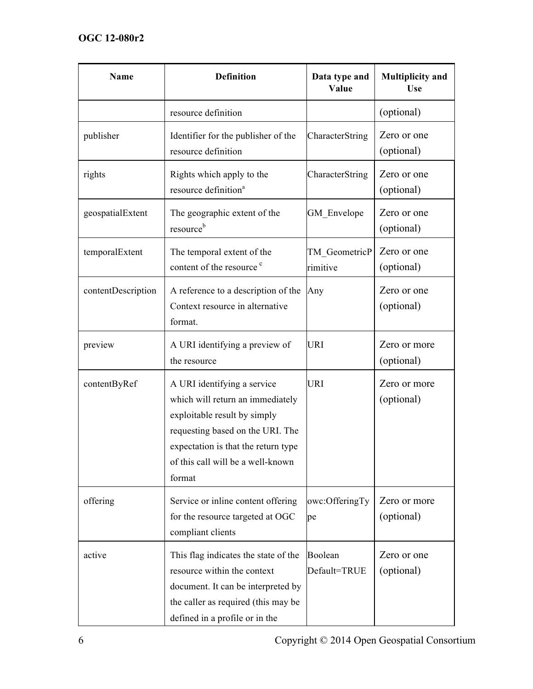| Name               | <b>Definition</b>                                                                                                                                                                                                         | Data type and<br>Value    | <b>Multiplicity and</b><br>Use |
|--------------------|---------------------------------------------------------------------------------------------------------------------------------------------------------------------------------------------------------------------------|---------------------------|--------------------------------|
|                    | resource definition                                                                                                                                                                                                       |                           | (optional)                     |
| publisher          | Identifier for the publisher of the<br>resource definition                                                                                                                                                                | CharacterString           | Zero or one<br>(optional)      |
| rights             | Rights which apply to the<br>resource definition <sup>a</sup>                                                                                                                                                             | CharacterString           | Zero or one<br>(optional)      |
| geospatialExtent   | The geographic extent of the<br>resource <sup>b</sup>                                                                                                                                                                     | GM Envelope               | Zero or one<br>(optional)      |
| temporalExtent     | The temporal extent of the<br>content of the resource <sup>c</sup>                                                                                                                                                        | TM GeometricP<br>rimitive | Zero or one<br>(optional)      |
| contentDescription | A reference to a description of the<br>Context resource in alternative<br>format.                                                                                                                                         | Any                       | Zero or one<br>(optional)      |
| preview            | A URI identifying a preview of<br>the resource                                                                                                                                                                            | <b>URI</b>                | Zero or more<br>(optional)     |
| contentByRef       | A URI identifying a service<br>which will return an immediately<br>exploitable result by simply<br>requesting based on the URI. The<br>expectation is that the return type<br>of this call will be a well-known<br>format | <b>URI</b>                | Zero or more<br>(optional)     |
| offering           | Service or inline content offering<br>for the resource targeted at OGC<br>compliant clients                                                                                                                               | owc:OfferingTy<br>pe      | Zero or more<br>(optional)     |
| active             | This flag indicates the state of the<br>resource within the context<br>document. It can be interpreted by<br>the caller as required (this may be<br>defined in a profile or in the                                        | Boolean<br>Default=TRUE   | Zero or one<br>(optional)      |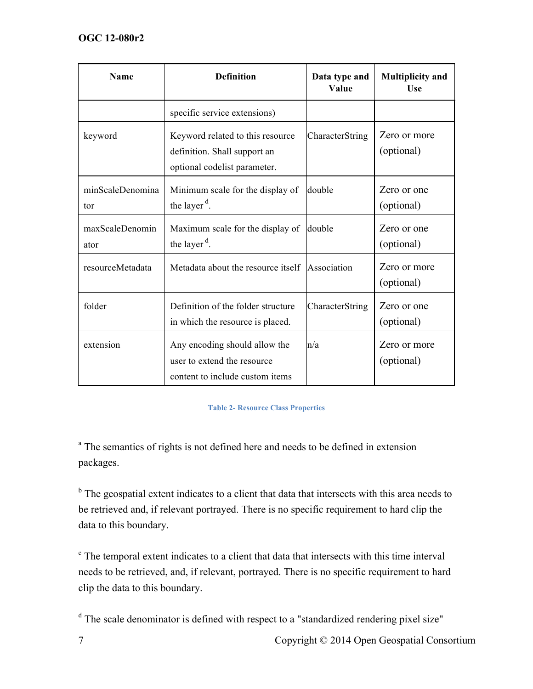| <b>Name</b>             | <b>Definition</b>                                                                                | Data type and<br>Value | <b>Multiplicity and</b><br><b>Use</b> |
|-------------------------|--------------------------------------------------------------------------------------------------|------------------------|---------------------------------------|
|                         | specific service extensions)                                                                     |                        |                                       |
| keyword                 | Keyword related to this resource<br>definition. Shall support an<br>optional codelist parameter. | CharacterString        | Zero or more<br>(optional)            |
| minScaleDenomina<br>tor | Minimum scale for the display of<br>the layer $d$ .                                              | double                 | Zero or one<br>(optional)             |
| maxScaleDenomin<br>ator | Maximum scale for the display of<br>the layer $d$ .                                              | double                 | Zero or one<br>(optional)             |
| resourceMetadata        | Metadata about the resource itself Association                                                   |                        | Zero or more<br>(optional)            |
| folder                  | Definition of the folder structure<br>in which the resource is placed.                           | CharacterString        | Zero or one<br>(optional)             |
| extension               | Any encoding should allow the<br>user to extend the resource<br>content to include custom items  | n/a                    | Zero or more<br>(optional)            |

#### **Table 2- Resource Class Properties**

<sup>a</sup> The semantics of rights is not defined here and needs to be defined in extension packages.

 $<sup>b</sup>$  The geospatial extent indicates to a client that data that intersects with this area needs to</sup> be retrieved and, if relevant portrayed. There is no specific requirement to hard clip the data to this boundary.

<sup>c</sup> The temporal extent indicates to a client that data that intersects with this time interval needs to be retrieved, and, if relevant, portrayed. There is no specific requirement to hard clip the data to this boundary.

<sup>d</sup> The scale denominator is defined with respect to a "standardized rendering pixel size"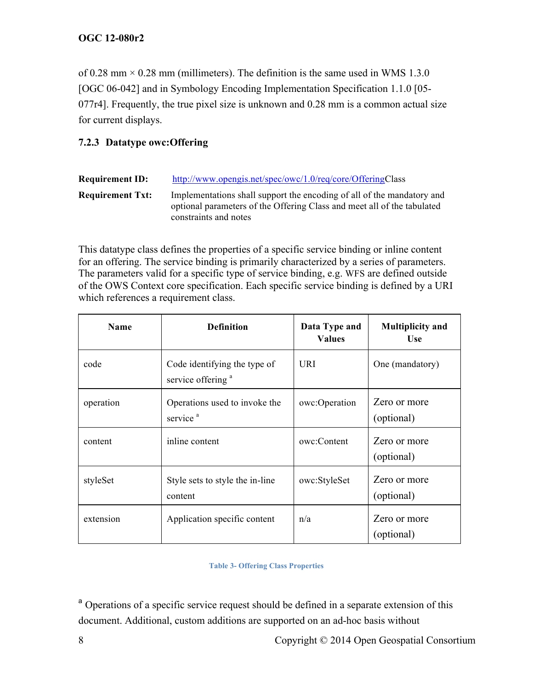of 0.28 mm  $\times$  0.28 mm (millimeters). The definition is the same used in WMS 1.3.0 [OGC 06-042] and in Symbology Encoding Implementation Specification 1.1.0 [05- 077r4]. Frequently, the true pixel size is unknown and 0.28 mm is a common actual size for current displays.

# **7.2.3 Datatype owc:Offering**

| <b>Requirement ID:</b>  | http://www.opengis.net/spec/owc/1.0/req/core/OfferingClass                                                                                                                 |
|-------------------------|----------------------------------------------------------------------------------------------------------------------------------------------------------------------------|
| <b>Requirement Txt:</b> | Implementations shall support the encoding of all of the mandatory and<br>optional parameters of the Offering Class and meet all of the tabulated<br>constraints and notes |

This datatype class defines the properties of a specific service binding or inline content for an offering. The service binding is primarily characterized by a series of parameters. The parameters valid for a specific type of service binding, e.g. WFS are defined outside of the OWS Context core specification. Each specific service binding is defined by a URI which references a requirement class.

| <b>Name</b> | <b>Definition</b>                                             | Data Type and<br><b>Values</b> | <b>Multiplicity and</b><br><b>Use</b> |
|-------------|---------------------------------------------------------------|--------------------------------|---------------------------------------|
| code        | Code identifying the type of<br>service offering <sup>a</sup> | <b>URI</b>                     | One (mandatory)                       |
| operation   | Operations used to invoke the<br>service <sup>a</sup>         | owc:Operation                  | Zero or more<br>(optional)            |
| content     | inline content                                                | owc:Content                    | Zero or more<br>(optional)            |
| styleSet    | Style sets to style the in-line<br>content                    | owc:StyleSet                   | Zero or more<br>(optional)            |
| extension   | Application specific content                                  | n/a                            | Zero or more<br>(optional)            |

#### **Table 3- Offering Class Properties**

<sup>a</sup> Operations of a specific service request should be defined in a separate extension of this document. Additional, custom additions are supported on an ad-hoc basis without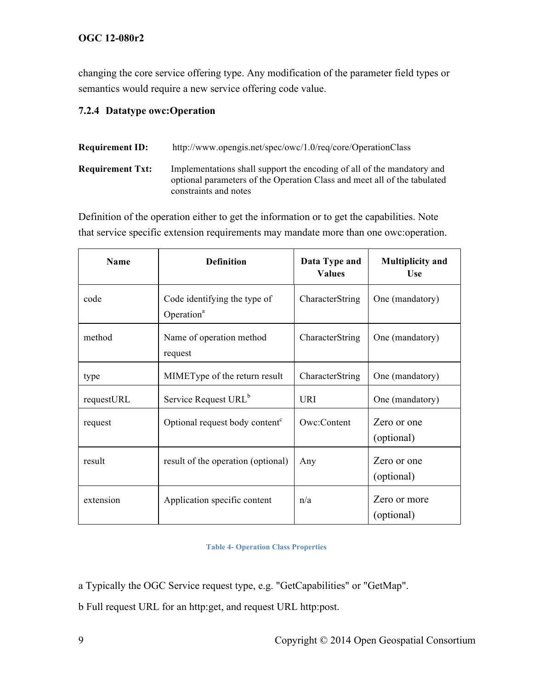changing the core service offering type. Any modification of the parameter field types or semantics would require a new service offering code value.

# **7.2.4 Datatype owc:Operation**

| <b>Requirement ID:</b>  | http://www.opengis.net/spec/owc/1.0/req/core/OperationClass                                                                                                                 |
|-------------------------|-----------------------------------------------------------------------------------------------------------------------------------------------------------------------------|
| <b>Requirement Txt:</b> | Implementations shall support the encoding of all of the mandatory and<br>optional parameters of the Operation Class and meet all of the tabulated<br>constraints and notes |

Definition of the operation either to get the information or to get the capabilities. Note that service specific extension requirements may mandate more than one owc:operation.

| <b>Name</b> | <b>Definition</b>                                      | Data Type and<br><b>Values</b> | <b>Multiplicity and</b><br>Use |
|-------------|--------------------------------------------------------|--------------------------------|--------------------------------|
| code        | Code identifying the type of<br>Operation <sup>a</sup> | CharacterString                | One (mandatory)                |
| method      | Name of operation method<br>request                    | CharacterString                | One (mandatory)                |
| type        | MIMEType of the return result                          | CharacterString                | One (mandatory)                |
| requestURL  | Service Request URL <sup>b</sup>                       | <b>URI</b>                     | One (mandatory)                |
| request     | Optional request body content <sup>c</sup>             | Owc:Content                    | Zero or one<br>(optional)      |
| result      | result of the operation (optional)                     | Any                            | Zero or one<br>(optional)      |
| extension   | Application specific content                           | n/a                            | Zero or more<br>(optional)     |

**Table 4- Operation Class Properties**

a Typically the OGC Service request type, e.g. "GetCapabilities" or "GetMap".

b Full request URL for an http:get, and request URL http:post.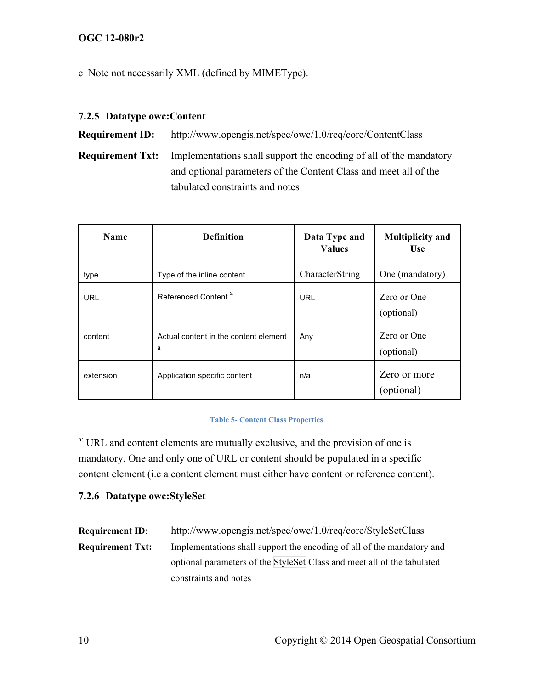c Note not necessarily XML (defined by MIMEType).

# **7.2.5 Datatype owc:Content**

**Requirement ID:** http://www.opengis.net/spec/owc/1.0/req/core/ContentClass

**Requirement Txt:** Implementations shall support the encoding of all of the mandatory and optional parameters of the Content Class and meet all of the tabulated constraints and notes

| <b>Name</b> | <b>Definition</b>                          | Data Type and<br><b>Values</b> | <b>Multiplicity and</b><br><b>Use</b> |
|-------------|--------------------------------------------|--------------------------------|---------------------------------------|
| type        | Type of the inline content                 | CharacterString                | One (mandatory)                       |
| <b>URL</b>  | Referenced Content <sup>a</sup>            | URL                            | Zero or One<br>(optional)             |
| content     | Actual content in the content element<br>a | Any                            | Zero or One<br>(optional)             |
| extension   | Application specific content               | n/a                            | Zero or more<br>(optional)            |

#### **Table 5- Content Class Properties**

a: URL and content elements are mutually exclusive, and the provision of one is mandatory. One and only one of URL or content should be populated in a specific content element (i.e a content element must either have content or reference content).

#### **7.2.6 Datatype owc:StyleSet**

| <b>Requirement ID:</b>  | http://www.opengis.net/spec/owc/1.0/req/core/StyleSetClass              |  |  |
|-------------------------|-------------------------------------------------------------------------|--|--|
| <b>Requirement Txt:</b> | Implementations shall support the encoding of all of the mandatory and  |  |  |
|                         | optional parameters of the StyleSet Class and meet all of the tabulated |  |  |
|                         | constraints and notes                                                   |  |  |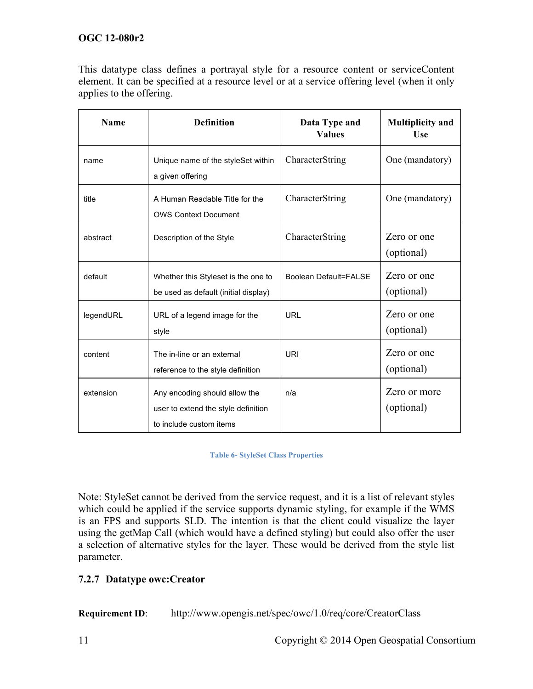This datatype class defines a portrayal style for a resource content or serviceContent element. It can be specified at a resource level or at a service offering level (when it only applies to the offering.

| <b>Name</b> | <b>Definition</b>                                                                               | Data Type and<br><b>Values</b> | <b>Multiplicity and</b><br><b>Use</b> |
|-------------|-------------------------------------------------------------------------------------------------|--------------------------------|---------------------------------------|
| name        | Unique name of the styleSet within<br>a given offering                                          | CharacterString                | One (mandatory)                       |
| title       | A Human Readable Title for the<br><b>OWS Context Document</b>                                   | CharacterString                | One (mandatory)                       |
| abstract    | Description of the Style                                                                        | CharacterString                | Zero or one<br>(optional)             |
| default     | Whether this Styleset is the one to<br>be used as default (initial display)                     | <b>Boolean Default=FALSE</b>   | Zero or one<br>(optional)             |
| legendURL   | URL of a legend image for the<br>style                                                          | <b>URL</b>                     | Zero or one<br>(optional)             |
| content     | The in-line or an external<br>reference to the style definition                                 | URI                            | Zero or one<br>(optional)             |
| extension   | Any encoding should allow the<br>user to extend the style definition<br>to include custom items | n/a                            | Zero or more<br>(optional)            |

#### **Table 6- StyleSet Class Properties**

Note: StyleSet cannot be derived from the service request, and it is a list of relevant styles which could be applied if the service supports dynamic styling, for example if the WMS is an FPS and supports SLD. The intention is that the client could visualize the layer using the getMap Call (which would have a defined styling) but could also offer the user a selection of alternative styles for the layer. These would be derived from the style list parameter.

#### **7.2.7 Datatype owc:Creator**

**Requirement ID**: http://www.opengis.net/spec/owc/1.0/req/core/CreatorClass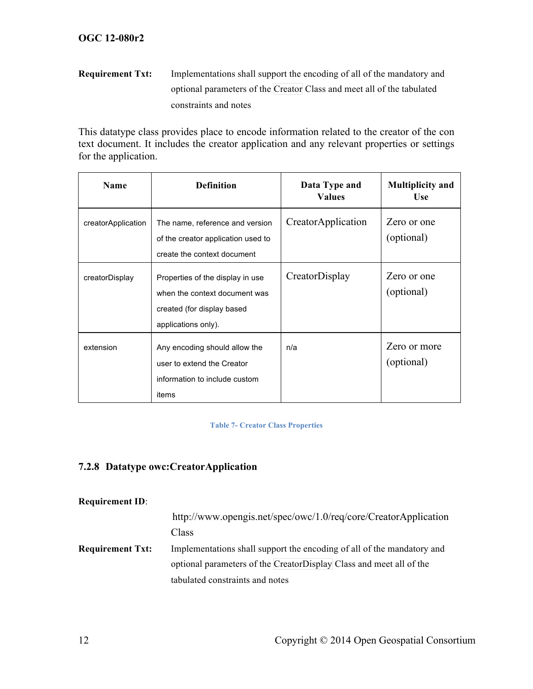# **Requirement Txt:** Implementations shall support the encoding of all of the mandatory and optional parameters of the Creator Class and meet all of the tabulated constraints and notes

This datatype class provides place to encode information related to the creator of the con text document. It includes the creator application and any relevant properties or settings for the application.

| <b>Name</b>        | <b>Definition</b>                                                                                                      | Data Type and<br><b>Values</b> | <b>Multiplicity and</b><br><b>Use</b> |
|--------------------|------------------------------------------------------------------------------------------------------------------------|--------------------------------|---------------------------------------|
| creatorApplication | The name, reference and version<br>of the creator application used to<br>create the context document                   | CreatorApplication             | Zero or one<br>(optional)             |
| creatorDisplay     | Properties of the display in use<br>when the context document was<br>created (for display based<br>applications only). | CreatorDisplay                 | Zero or one<br>(optional)             |
| extension          | Any encoding should allow the<br>user to extend the Creator<br>information to include custom<br>items                  | n/a                            | Zero or more<br>(optional)            |

#### **Table 7- Creator Class Properties**

## **7.2.8 Datatype owc:CreatorApplication**

#### **Requirement ID**:

|                         | http://www.opengis.net/spec/owc/1.0/req/core/CreatorApplication        |
|-------------------------|------------------------------------------------------------------------|
|                         | Class                                                                  |
| <b>Requirement Txt:</b> | Implementations shall support the encoding of all of the mandatory and |
|                         | optional parameters of the CreatorDisplay Class and meet all of the    |
|                         | tabulated constraints and notes                                        |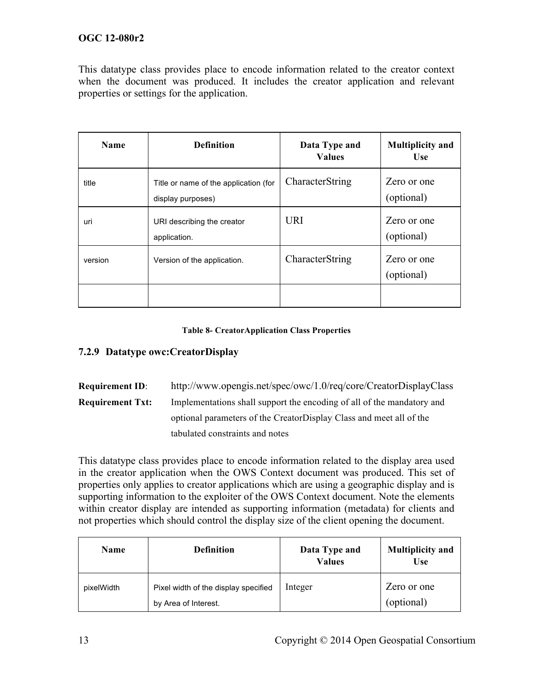This datatype class provides place to encode information related to the creator context when the document was produced. It includes the creator application and relevant properties or settings for the application.

| <b>Name</b> | <b>Definition</b>                                          | Data Type and<br><b>Values</b> | <b>Multiplicity and</b><br><b>Use</b> |
|-------------|------------------------------------------------------------|--------------------------------|---------------------------------------|
| title       | Title or name of the application (for<br>display purposes) | CharacterString                | Zero or one<br>(optional)             |
| uri         | URI describing the creator<br>application.                 | <b>URI</b>                     | Zero or one<br>(optional)             |
| version     | Version of the application.                                | CharacterString                | Zero or one<br>(optional)             |
|             |                                                            |                                |                                       |

#### **Table 8- CreatorApplication Class Properties**

#### **7.2.9 Datatype owc:CreatorDisplay**

**Requirement ID**: http://www.opengis.net/spec/owc/1.0/req/core/CreatorDisplayClass **Requirement Txt:** Implementations shall support the encoding of all of the mandatory and optional parameters of the CreatorDisplay Class and meet all of the tabulated constraints and notes

This datatype class provides place to encode information related to the display area used in the creator application when the OWS Context document was produced. This set of properties only applies to creator applications which are using a geographic display and is supporting information to the exploiter of the OWS Context document. Note the elements within creator display are intended as supporting information (metadata) for clients and not properties which should control the display size of the client opening the document.

| <b>Name</b> | <b>Definition</b>                                            | Data Type and<br><b>Values</b> | <b>Multiplicity and</b><br><b>Use</b> |
|-------------|--------------------------------------------------------------|--------------------------------|---------------------------------------|
| pixelWidth  | Pixel width of the display specified<br>by Area of Interest. | Integer                        | Zero or one<br>(optional)             |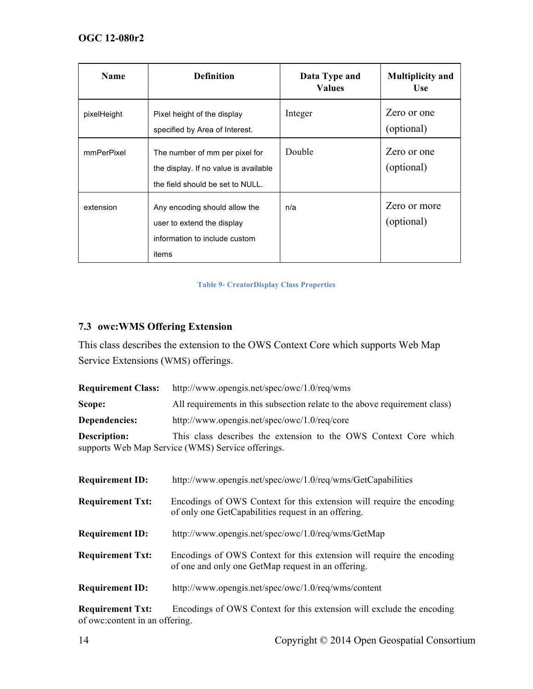| <b>Name</b> | <b>Definition</b>                                                                                           | Data Type and<br><b>Values</b> | <b>Multiplicity and</b><br>Use |
|-------------|-------------------------------------------------------------------------------------------------------------|--------------------------------|--------------------------------|
| pixelHeight | Pixel height of the display<br>specified by Area of Interest.                                               | Integer                        | Zero or one<br>(optional)      |
| mmPerPixel  | The number of mm per pixel for<br>the display. If no value is available<br>the field should be set to NULL. | Double                         | Zero or one<br>(optional)      |
| extension   | Any encoding should allow the<br>user to extend the display<br>information to include custom<br>items       | n/a                            | Zero or more<br>(optional)     |

#### **Table 9- CreatorDisplay Class Properties**

# **7.3 owc:WMS Offering Extension**

This class describes the extension to the OWS Context Core which supports Web Map Service Extensions (WMS) offerings.

| <b>Requirement Class:</b> | http://www.opengis.net/spec/owc/1.0/req/wms                                                                           |  |
|---------------------------|-----------------------------------------------------------------------------------------------------------------------|--|
| Scope:                    | All requirements in this subsection relate to the above requirement class)                                            |  |
| Dependencies:             | http://www.opengis.net/spec/owc/1.0/req/core                                                                          |  |
| Description:              | This class describes the extension to the OWS Context Core which<br>supports Web Map Service (WMS) Service offerings. |  |

| <b>Requirement ID:</b>  | http://www.opengis.net/spec/owc/1.0/req/wms/GetCapabilities                                                                  |
|-------------------------|------------------------------------------------------------------------------------------------------------------------------|
| <b>Requirement Txt:</b> | Encodings of OWS Context for this extension will require the encoding<br>of only one GetCapabilities request in an offering. |
| <b>Requirement ID:</b>  | http://www.opengis.net/spec/owc/1.0/req/wms/GetMap                                                                           |
| <b>Requirement Txt:</b> | Encodings of OWS Context for this extension will require the encoding<br>of one and only one GetMap request in an offering.  |
| <b>Requirement ID:</b>  | http://www.opengis.net/spec/owc/1.0/req/wms/content                                                                          |

**Requirement Txt:** Encodings of OWS Context for this extension will exclude the encoding of owc:content in an offering.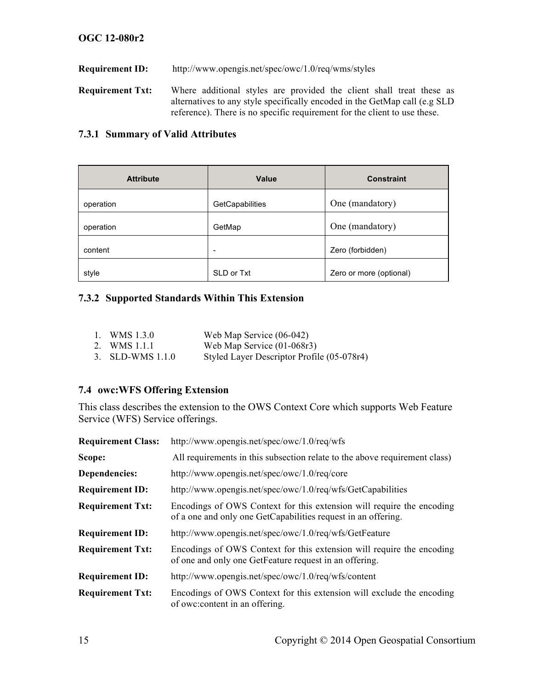**Requirement ID:** http://www.opengis.net/spec/owc/1.0/req/wms/styles

**Requirement Txt:** Where additional styles are provided the client shall treat these as alternatives to any style specifically encoded in the GetMap call (e.g SLD reference). There is no specific requirement for the client to use these.

#### **7.3.1 Summary of Valid Attributes**

| <b>Attribute</b> | <b>Value</b>             | <b>Constraint</b>       |
|------------------|--------------------------|-------------------------|
| operation        | GetCapabilities          | One (mandatory)         |
| operation        | GetMap                   | One (mandatory)         |
| content          | $\overline{\phantom{a}}$ | Zero (forbidden)        |
| style            | SLD or Txt               | Zero or more (optional) |

#### **7.3.2 Supported Standards Within This Extension**

| 1. WMS $1.3.0$   | Web Map Service $(06-042)$                 |
|------------------|--------------------------------------------|
| 2. WMS 1.1.1     | Web Map Service $(01-068r3)$               |
| 3. SLD-WMS 1.1.0 | Styled Layer Descriptor Profile (05-078r4) |

#### **7.4 owc:WFS Offering Extension**

This class describes the extension to the OWS Context Core which supports Web Feature Service (WFS) Service offerings.

| <b>Requirement Class:</b> | http://www.opengis.net/spec/owc/1.0/req/wfs                                                                                            |  |
|---------------------------|----------------------------------------------------------------------------------------------------------------------------------------|--|
| Scope:                    | All requirements in this subsection relate to the above requirement class)                                                             |  |
| Dependencies:             | http://www.opengis.net/spec/owc/1.0/req/core                                                                                           |  |
| <b>Requirement ID:</b>    | http://www.opengis.net/spec/owc/1.0/req/wfs/GetCapabilities                                                                            |  |
| <b>Requirement Txt:</b>   | Encodings of OWS Context for this extension will require the encoding<br>of a one and only one GetCapabilities request in an offering. |  |
| <b>Requirement ID:</b>    | http://www.opengis.net/spec/owc/1.0/req/wfs/GetFeature                                                                                 |  |
| <b>Requirement Txt:</b>   | Encodings of OWS Context for this extension will require the encoding<br>of one and only one GetFeature request in an offering.        |  |
| <b>Requirement ID:</b>    | http://www.opengis.net/spec/owc/1.0/req/wfs/content                                                                                    |  |
| <b>Requirement Txt:</b>   | Encodings of OWS Context for this extension will exclude the encoding<br>of owc: content in an offering.                               |  |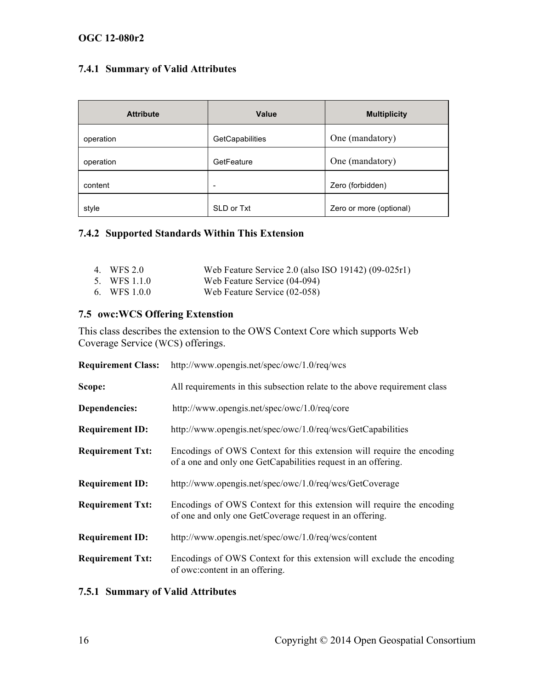# **7.4.1 Summary of Valid Attributes**

| <b>Attribute</b> | <b>Value</b>    | <b>Multiplicity</b>     |
|------------------|-----------------|-------------------------|
| operation        | GetCapabilities | One (mandatory)         |
| operation        | GetFeature      | One (mandatory)         |
| content          | -               | Zero (forbidden)        |
| style            | SLD or Txt      | Zero or more (optional) |

#### **7.4.2 Supported Standards Within This Extension**

| 4. WFS 2.0   | Web Feature Service 2.0 (also ISO 19142) (09-025r1) |
|--------------|-----------------------------------------------------|
| 5. WFS 1.1.0 | Web Feature Service (04-094)                        |

6. WFS 1.0.0 Web Feature Service (02-058)

#### **7.5 owc:WCS Offering Extenstion**

This class describes the extension to the OWS Context Core which supports Web Coverage Service (WCS) offerings.

| <b>Requirement Class:</b> | http://www.opengis.net/spec/owc/1.0/req/wcs                                                                                            |  |
|---------------------------|----------------------------------------------------------------------------------------------------------------------------------------|--|
| Scope:                    | All requirements in this subsection relate to the above requirement class                                                              |  |
| Dependencies:             | http://www.opengis.net/spec/owc/1.0/req/core                                                                                           |  |
| <b>Requirement ID:</b>    | http://www.opengis.net/spec/owc/1.0/req/wcs/GetCapabilities                                                                            |  |
| <b>Requirement Txt:</b>   | Encodings of OWS Context for this extension will require the encoding<br>of a one and only one GetCapabilities request in an offering. |  |
| <b>Requirement ID:</b>    | http://www.opengis.net/spec/owc/1.0/req/wcs/GetCoverage                                                                                |  |
| <b>Requirement Txt:</b>   | Encodings of OWS Context for this extension will require the encoding<br>of one and only one GetCoverage request in an offering.       |  |
| <b>Requirement ID:</b>    | http://www.opengis.net/spec/owc/1.0/req/wcs/content                                                                                    |  |
| <b>Requirement Txt:</b>   | Encodings of OWS Context for this extension will exclude the encoding<br>of owc: content in an offering.                               |  |

#### **7.5.1 Summary of Valid Attributes**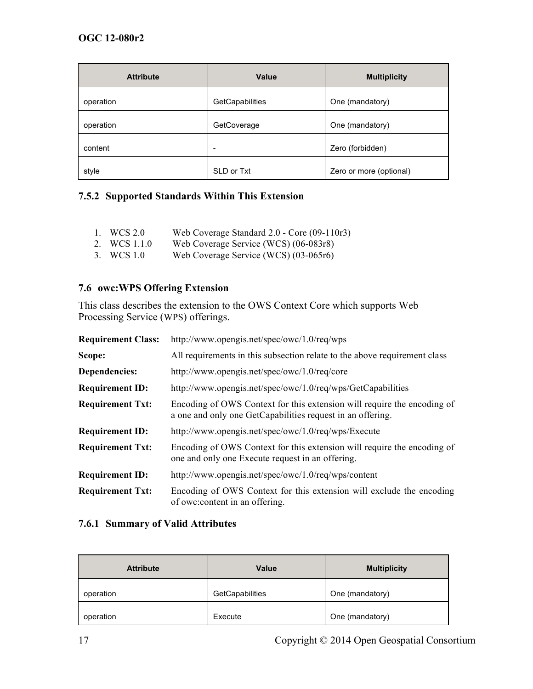| <b>Attribute</b> | Value           | <b>Multiplicity</b>     |
|------------------|-----------------|-------------------------|
| operation        | GetCapabilities | One (mandatory)         |
| operation        | GetCoverage     | One (mandatory)         |
| content          | -               | Zero (forbidden)        |
| style            | SLD or Txt      | Zero or more (optional) |

#### **7.5.2 Supported Standards Within This Extension**

- 1. WCS 2.0 Web Coverage Standard 2.0 Core (09-110r3)<br>2. WCS 1.1.0 Web Coverage Service (WCS) (06-083r8)
- Web Coverage Service (WCS) (06-083r8)
- 3. WCS 1.0 Web Coverage Service (WCS) (03-065r6)

#### **7.6 owc:WPS Offering Extension**

This class describes the extension to the OWS Context Core which supports Web Processing Service (WPS) offerings.

| <b>Requirement Class:</b> | http://www.opengis.net/spec/owc/1.0/req/wps                                                                                           |  |
|---------------------------|---------------------------------------------------------------------------------------------------------------------------------------|--|
| Scope:                    | All requirements in this subsection relate to the above requirement class                                                             |  |
| Dependencies:             | http://www.opengis.net/spec/owc/1.0/req/core                                                                                          |  |
| <b>Requirement ID:</b>    | http://www.opengis.net/spec/owc/1.0/req/wps/GetCapabilities                                                                           |  |
| <b>Requirement Txt:</b>   | Encoding of OWS Context for this extension will require the encoding of<br>a one and only one GetCapabilities request in an offering. |  |
| <b>Requirement ID:</b>    | http://www.opengis.net/spec/owc/1.0/req/wps/Execute                                                                                   |  |
| <b>Requirement Txt:</b>   | Encoding of OWS Context for this extension will require the encoding of<br>one and only one Execute request in an offering.           |  |
| <b>Requirement ID:</b>    | http://www.opengis.net/spec/owc/1.0/req/wps/content                                                                                   |  |
| <b>Requirement Txt:</b>   | Encoding of OWS Context for this extension will exclude the encoding<br>of owc: content in an offering.                               |  |

#### **7.6.1 Summary of Valid Attributes**

| <b>Attribute</b> | <b>Value</b>    | <b>Multiplicity</b> |
|------------------|-----------------|---------------------|
| operation        | GetCapabilities | One (mandatory)     |
| operation        | Execute         | One (mandatory)     |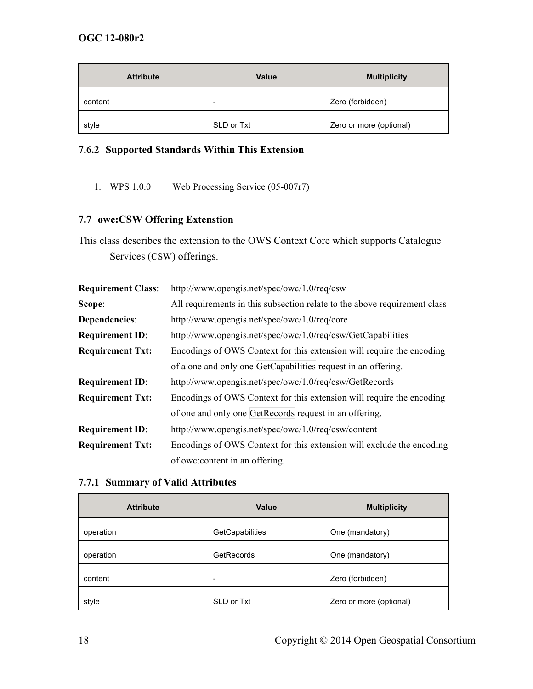| <b>Attribute</b> | <b>Value</b>             | <b>Multiplicity</b>     |
|------------------|--------------------------|-------------------------|
| content          | $\overline{\phantom{a}}$ | Zero (forbidden)        |
| style            | SLD or Txt               | Zero or more (optional) |

# **7.6.2 Supported Standards Within This Extension**

1. WPS 1.0.0 Web Processing Service (05-007r7)

#### **7.7 owc:CSW Offering Extenstion**

This class describes the extension to the OWS Context Core which supports Catalogue Services (CSW) offerings.

| <b>Requirement Class:</b> | http://www.opengis.net/spec/owc/1.0/req/csw                               |  |
|---------------------------|---------------------------------------------------------------------------|--|
| Scope:                    | All requirements in this subsection relate to the above requirement class |  |
| Dependencies:             | http://www.opengis.net/spec/owc/1.0/req/core                              |  |
| <b>Requirement ID:</b>    | http://www.opengis.net/spec/owc/1.0/req/csw/GetCapabilities               |  |
| <b>Requirement Txt:</b>   | Encodings of OWS Context for this extension will require the encoding     |  |
|                           | of a one and only one GetCapabilities request in an offering.             |  |
| <b>Requirement ID:</b>    | http://www.opengis.net/spec/owc/1.0/req/csw/GetRecords                    |  |
| <b>Requirement Txt:</b>   | Encodings of OWS Context for this extension will require the encoding     |  |
|                           | of one and only one GetRecords request in an offering.                    |  |
| <b>Requirement ID:</b>    | http://www.opengis.net/spec/owc/1.0/req/csw/content                       |  |
| <b>Requirement Txt:</b>   | Encodings of OWS Context for this extension will exclude the encoding     |  |
|                           | of owc: content in an offering.                                           |  |

#### **7.7.1 Summary of Valid Attributes**

| <b>Attribute</b> | Value                    | <b>Multiplicity</b>     |
|------------------|--------------------------|-------------------------|
| operation        | GetCapabilities          | One (mandatory)         |
| operation        | GetRecords               | One (mandatory)         |
| content          | $\overline{\phantom{a}}$ | Zero (forbidden)        |
| style            | SLD or Txt               | Zero or more (optional) |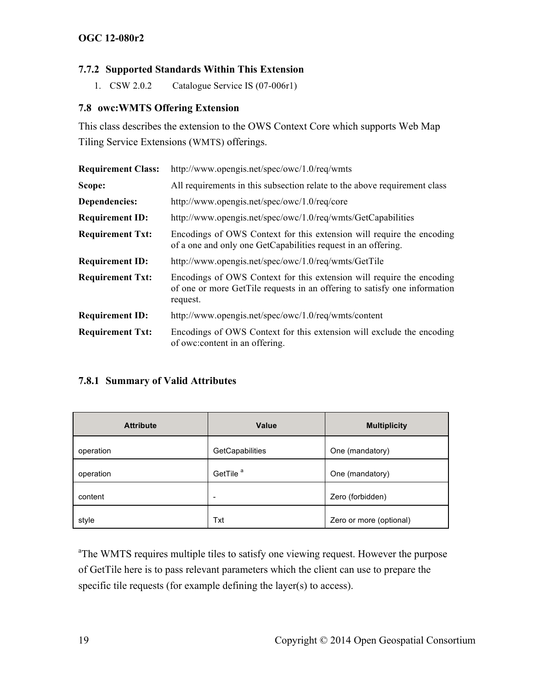#### **7.7.2 Supported Standards Within This Extension**

1. CSW 2.0.2 Catalogue Service IS (07-006r1)

#### **7.8 owc:WMTS Offering Extension**

This class describes the extension to the OWS Context Core which supports Web Map Tiling Service Extensions (WMTS) offerings.

| <b>Requirement Class:</b> | http://www.opengis.net/spec/owc/1.0/req/wmts                                                                                                                   |
|---------------------------|----------------------------------------------------------------------------------------------------------------------------------------------------------------|
| Scope:                    | All requirements in this subsection relate to the above requirement class                                                                                      |
| Dependencies:             | http://www.opengis.net/spec/owc/1.0/req/core                                                                                                                   |
| <b>Requirement ID:</b>    | http://www.opengis.net/spec/owc/1.0/req/wmts/GetCapabilities                                                                                                   |
| <b>Requirement Txt:</b>   | Encodings of OWS Context for this extension will require the encoding<br>of a one and only one GetCapabilities request in an offering.                         |
| <b>Requirement ID:</b>    | http://www.opengis.net/spec/owc/1.0/req/wmts/GetTile                                                                                                           |
| <b>Requirement Txt:</b>   | Encodings of OWS Context for this extension will require the encoding<br>of one or more GetTile requests in an offering to satisfy one information<br>request. |
| <b>Requirement ID:</b>    | http://www.opengis.net/spec/owc/1.0/req/wmts/content                                                                                                           |
| <b>Requirement Txt:</b>   | Encodings of OWS Context for this extension will exclude the encoding<br>of owc: content in an offering.                                                       |

# **7.8.1 Summary of Valid Attributes**

| <b>Attribute</b> | Value                    | <b>Multiplicity</b>     |
|------------------|--------------------------|-------------------------|
| operation        | GetCapabilities          | One (mandatory)         |
| operation        | GetTile <sup>a</sup>     | One (mandatory)         |
| content          | $\overline{\phantom{a}}$ | Zero (forbidden)        |
| style            | Txt                      | Zero or more (optional) |

<sup>a</sup>The WMTS requires multiple tiles to satisfy one viewing request. However the purpose of GetTile here is to pass relevant parameters which the client can use to prepare the specific tile requests (for example defining the layer(s) to access).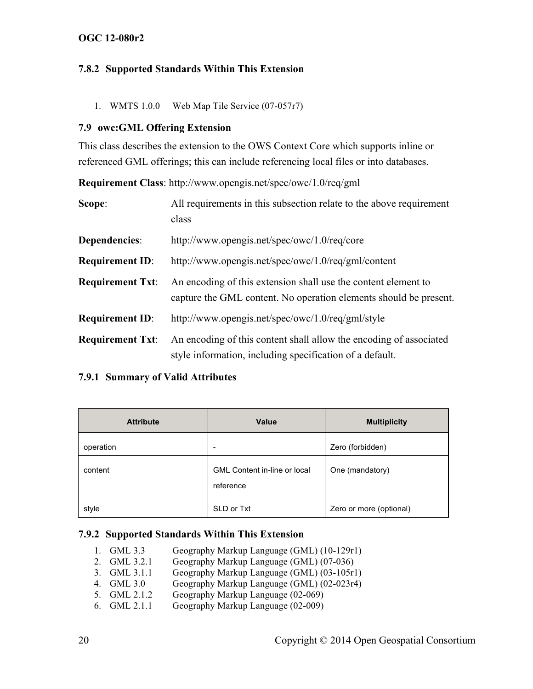#### **7.8.2 Supported Standards Within This Extension**

1. WMTS 1.0.0 Web Map Tile Service (07-057r7)

#### **7.9 owc:GML Offering Extension**

This class describes the extension to the OWS Context Core which supports inline or referenced GML offerings; this can include referencing local files or into databases.

**Requirement Class**: http://www.opengis.net/spec/owc/1.0/req/gml

| Scope:                  | All requirements in this subsection relate to the above requirement<br>class                                                        |
|-------------------------|-------------------------------------------------------------------------------------------------------------------------------------|
| Dependencies:           | http://www.opengis.net/spec/owc/1.0/req/core                                                                                        |
| <b>Requirement ID:</b>  | http://www.opengis.net/spec/owc/1.0/req/gml/content                                                                                 |
| <b>Requirement Txt:</b> | An encoding of this extension shall use the content element to<br>capture the GML content. No operation elements should be present. |
| <b>Requirement ID:</b>  | http://www.opengis.net/spec/owc/1.0/req/gml/style                                                                                   |
| <b>Requirement Txt:</b> | An encoding of this content shall allow the encoding of associated<br>style information, including specification of a default.      |

#### **7.9.1 Summary of Valid Attributes**

| <b>Attribute</b> | Value                                            | <b>Multiplicity</b>     |
|------------------|--------------------------------------------------|-------------------------|
| operation        | $\overline{\phantom{0}}$                         | Zero (forbidden)        |
| content          | <b>GML Content in-line or local</b><br>reference | One (mandatory)         |
| style            | SLD or Txt                                       | Zero or more (optional) |

#### **7.9.2 Supported Standards Within This Extension**

- 1. GML 3.3 Geography Markup Language (GML) (10-129r1)
- 2. GML 3.2.1 Geography Markup Language (GML) (07-036)
- 3. GML 3.1.1 Geography Markup Language (GML) (03-105r1)<br>4. GML 3.0 Geography Markup Language (GML) (02-023r4)
- Geography Markup Language (GML) (02-023r4)
- 5. GML 2.1.2 Geography Markup Language (02-069)
- 6. GML 2.1.1 Geography Markup Language (02-009)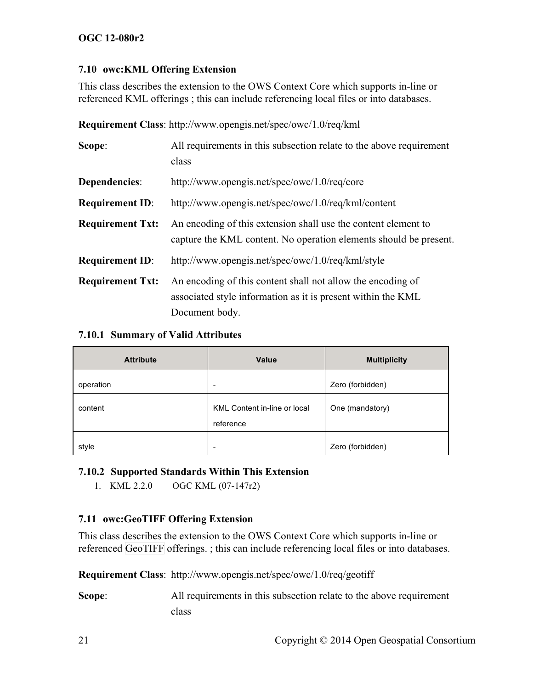#### **7.10 owc:KML Offering Extension**

This class describes the extension to the OWS Context Core which supports in-line or referenced KML offerings ; this can include referencing local files or into databases.

**Requirement Class**: http://www.opengis.net/spec/owc/1.0/req/kml

| Scope:                  | All requirements in this subsection relate to the above requirement<br>class                                                                  |
|-------------------------|-----------------------------------------------------------------------------------------------------------------------------------------------|
| Dependencies:           | http://www.opengis.net/spec/owc/1.0/req/core                                                                                                  |
| <b>Requirement ID:</b>  | http://www.opengis.net/spec/owc/1.0/req/kml/content                                                                                           |
| <b>Requirement Txt:</b> | An encoding of this extension shall use the content element to<br>capture the KML content. No operation elements should be present.           |
| <b>Requirement ID:</b>  | http://www.opengis.net/spec/owc/1.0/req/kml/style                                                                                             |
| <b>Requirement Txt:</b> | An encoding of this content shall not allow the encoding of<br>associated style information as it is present within the KML<br>Document body. |

#### **7.10.1 Summary of Valid Attributes**

| <b>Attribute</b> | Value                                     | <b>Multiplicity</b> |
|------------------|-------------------------------------------|---------------------|
| operation        | -                                         | Zero (forbidden)    |
| content          | KML Content in-line or local<br>reference | One (mandatory)     |
| style            |                                           | Zero (forbidden)    |

# **7.10.2 Supported Standards Within This Extension**

1. KML 2.2.0 OGC KML (07-147r2)

# **7.11 owc:GeoTIFF Offering Extension**

This class describes the extension to the OWS Context Core which supports in-line or referenced GeoTIFF offerings. ; this can include referencing local files or into databases.

**Requirement Class**: http://www.opengis.net/spec/owc/1.0/req/geotiff

**Scope:** All requirements in this subsection relate to the above requirement class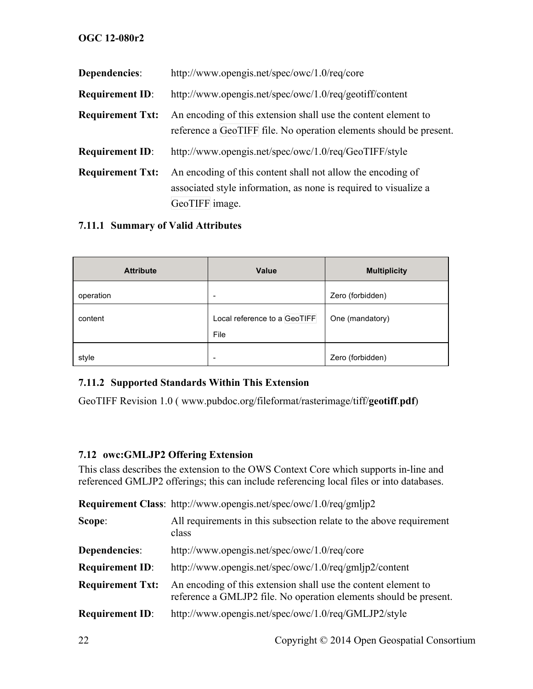| Dependencies:           | http://www.opengis.net/spec/owc/1.0/req/core                                                                                                      |
|-------------------------|---------------------------------------------------------------------------------------------------------------------------------------------------|
| <b>Requirement ID:</b>  | http://www.opengis.net/spec/owc/1.0/req/geotiff/content                                                                                           |
| <b>Requirement Txt:</b> | An encoding of this extension shall use the content element to<br>reference a GeoTIFF file. No operation elements should be present.              |
| <b>Requirement ID:</b>  | http://www.opengis.net/spec/owc/1.0/req/GeoTIFF/style                                                                                             |
| <b>Requirement Txt:</b> | An encoding of this content shall not allow the encoding of<br>associated style information, as none is required to visualize a<br>GeoTIFF image. |

#### **7.11.1 Summary of Valid Attributes**

| <b>Attribute</b> | Value                                | <b>Multiplicity</b> |
|------------------|--------------------------------------|---------------------|
| operation        | $\overline{\phantom{0}}$             | Zero (forbidden)    |
| content          | Local reference to a GeoTIFF<br>File | One (mandatory)     |
| style            | ۰                                    | Zero (forbidden)    |

#### **7.11.2 Supported Standards Within This Extension**

GeoTIFF Revision 1.0 ( www.pubdoc.org/fileformat/rasterimage/tiff/**geotiff**.**pdf**)

#### **7.12 owc:GMLJP2 Offering Extension**

This class describes the extension to the OWS Context Core which supports in-line and referenced GMLJP2 offerings; this can include referencing local files or into databases.

|                         | Requirement Class: http://www.opengis.net/spec/owc/1.0/req/gmljp2                                                                   |
|-------------------------|-------------------------------------------------------------------------------------------------------------------------------------|
| Scope:                  | All requirements in this subsection relate to the above requirement<br>class                                                        |
| Dependencies:           | http://www.opengis.net/spec/owc/1.0/req/core                                                                                        |
| <b>Requirement ID:</b>  | http://www.opengis.net/spec/owc/1.0/req/gmljp2/content                                                                              |
| <b>Requirement Txt:</b> | An encoding of this extension shall use the content element to<br>reference a GMLJP2 file. No operation elements should be present. |
| <b>Requirement ID:</b>  | http://www.opengis.net/spec/owc/1.0/req/GMLJP2/style                                                                                |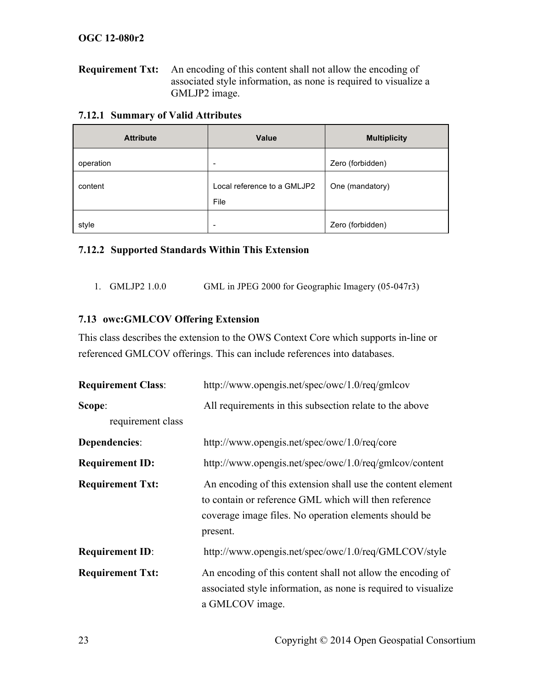**Requirement Txt:** An encoding of this content shall not allow the encoding of associated style information, as none is required to visualize a GMLJP2 image.

| <b>Attribute</b> | Value                               | <b>Multiplicity</b> |
|------------------|-------------------------------------|---------------------|
| operation        | ۰                                   | Zero (forbidden)    |
| content          | Local reference to a GMLJP2<br>File | One (mandatory)     |
| style            | -                                   | Zero (forbidden)    |

#### **7.12.2 Supported Standards Within This Extension**

1. GMLJP2 1.0.0 GML in JPEG 2000 for Geographic Imagery (05-047r3)

#### **7.13 owc:GMLCOV Offering Extension**

This class describes the extension to the OWS Context Core which supports in-line or referenced GMLCOV offerings. This can include references into databases.

| <b>Requirement Class:</b> | http://www.opengis.net/spec/owc/1.0/req/gmlcov                                                                                                                                            |  |
|---------------------------|-------------------------------------------------------------------------------------------------------------------------------------------------------------------------------------------|--|
| Scope:                    | All requirements in this subsection relate to the above                                                                                                                                   |  |
| requirement class         |                                                                                                                                                                                           |  |
| Dependencies:             | http://www.opengis.net/spec/owc/1.0/req/core                                                                                                                                              |  |
| <b>Requirement ID:</b>    | http://www.opengis.net/spec/owc/1.0/req/gmlcov/content                                                                                                                                    |  |
| <b>Requirement Txt:</b>   | An encoding of this extension shall use the content element<br>to contain or reference GML which will then reference<br>coverage image files. No operation elements should be<br>present. |  |
| <b>Requirement ID:</b>    | http://www.opengis.net/spec/owc/1.0/req/GMLCOV/style                                                                                                                                      |  |
| <b>Requirement Txt:</b>   | An encoding of this content shall not allow the encoding of<br>associated style information, as none is required to visualize<br>a GMLCOV image.                                          |  |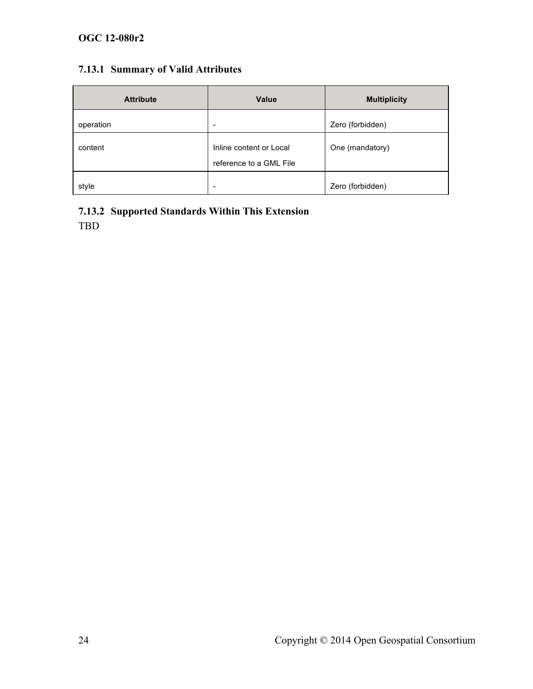# **7.13.1 Summary of Valid Attributes**

| <b>Attribute</b> | Value                                              | <b>Multiplicity</b> |
|------------------|----------------------------------------------------|---------------------|
| operation        | $\overline{\phantom{0}}$                           | Zero (forbidden)    |
| content          | Inline content or Local<br>reference to a GML File | One (mandatory)     |
| style            | $\overline{\phantom{a}}$                           | Zero (forbidden)    |

# **7.13.2 Supported Standards Within This Extension**

TBD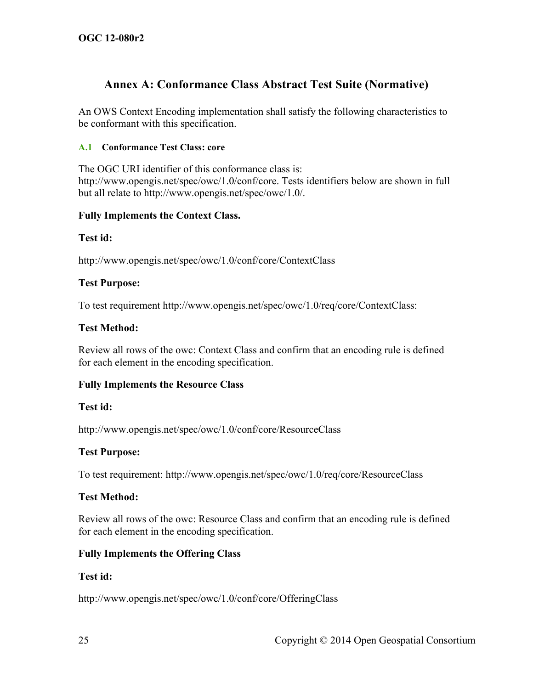# **Annex A: Conformance Class Abstract Test Suite (Normative)**

An OWS Context Encoding implementation shall satisfy the following characteristics to be conformant with this specification.

#### **A.1 Conformance Test Class: core**

The OGC URI identifier of this conformance class is: http://www.opengis.net/spec/owc/1.0/conf/core. Tests identifiers below are shown in full but all relate to http://www.opengis.net/spec/owc/1.0/.

#### **Fully Implements the Context Class.**

#### **Test id:**

http://www.opengis.net/spec/owc/1.0/conf/core/ContextClass

#### **Test Purpose:**

To test requirement http://www.opengis.net/spec/owc/1.0/req/core/ContextClass:

#### **Test Method:**

Review all rows of the owc: Context Class and confirm that an encoding rule is defined for each element in the encoding specification.

#### **Fully Implements the Resource Class**

#### **Test id:**

http://www.opengis.net/spec/owc/1.0/conf/core/ResourceClass

#### **Test Purpose:**

To test requirement: http://www.opengis.net/spec/owc/1.0/req/core/ResourceClass

#### **Test Method:**

Review all rows of the owc: Resource Class and confirm that an encoding rule is defined for each element in the encoding specification.

#### **Fully Implements the Offering Class**

#### **Test id:**

http://www.opengis.net/spec/owc/1.0/conf/core/OfferingClass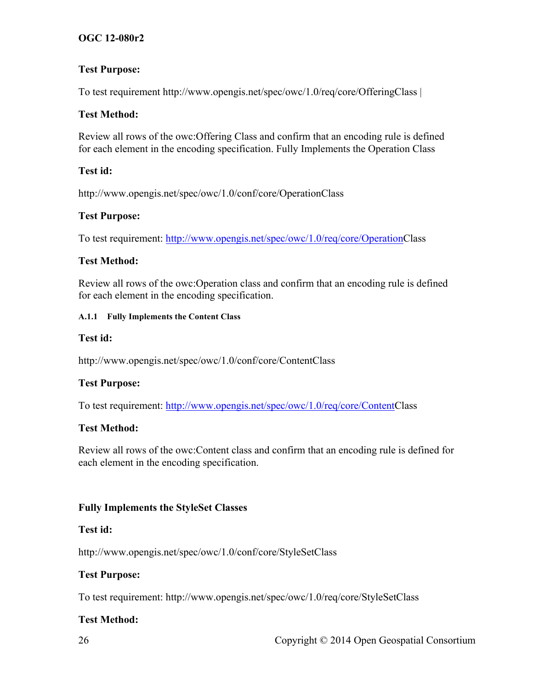#### **Test Purpose:**

To test requirement http://www.opengis.net/spec/owc/1.0/req/core/OfferingClass |

#### **Test Method:**

Review all rows of the owc:Offering Class and confirm that an encoding rule is defined for each element in the encoding specification. Fully Implements the Operation Class

#### **Test id:**

http://www.opengis.net/spec/owc/1.0/conf/core/OperationClass

#### **Test Purpose:**

To test requirement: http://www.opengis.net/spec/owc/1.0/req/core/OperationClass

#### **Test Method:**

Review all rows of the owc:Operation class and confirm that an encoding rule is defined for each element in the encoding specification.

#### **A.1.1 Fully Implements the Content Class**

#### **Test id:**

http://www.opengis.net/spec/owc/1.0/conf/core/ContentClass

# **Test Purpose:**

To test requirement: http://www.opengis.net/spec/owc/1.0/req/core/ContentClass

# **Test Method:**

Review all rows of the owc:Content class and confirm that an encoding rule is defined for each element in the encoding specification.

# **Fully Implements the StyleSet Classes**

#### **Test id:**

http://www.opengis.net/spec/owc/1.0/conf/core/StyleSetClass

#### **Test Purpose:**

To test requirement: http://www.opengis.net/spec/owc/1.0/req/core/StyleSetClass

# **Test Method:**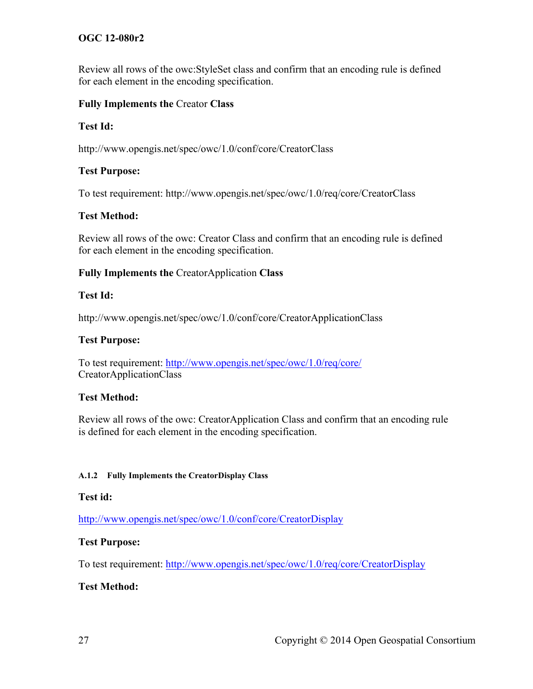Review all rows of the owc:StyleSet class and confirm that an encoding rule is defined for each element in the encoding specification.

#### **Fully Implements the** Creator **Class**

#### **Test Id:**

http://www.opengis.net/spec/owc/1.0/conf/core/CreatorClass

#### **Test Purpose:**

To test requirement: http://www.opengis.net/spec/owc/1.0/req/core/CreatorClass

#### **Test Method:**

Review all rows of the owc: Creator Class and confirm that an encoding rule is defined for each element in the encoding specification.

#### **Fully Implements the** CreatorApplication **Class**

#### **Test Id:**

http://www.opengis.net/spec/owc/1.0/conf/core/CreatorApplicationClass

#### **Test Purpose:**

To test requirement: http://www.opengis.net/spec/owc/1.0/req/core/ CreatorApplicationClass

#### **Test Method:**

Review all rows of the owc: CreatorApplication Class and confirm that an encoding rule is defined for each element in the encoding specification.

#### **A.1.2 Fully Implements the CreatorDisplay Class**

#### **Test id:**

http://www.opengis.net/spec/owc/1.0/conf/core/CreatorDisplay

#### **Test Purpose:**

To test requirement: http://www.opengis.net/spec/owc/1.0/req/core/CreatorDisplay

# **Test Method:**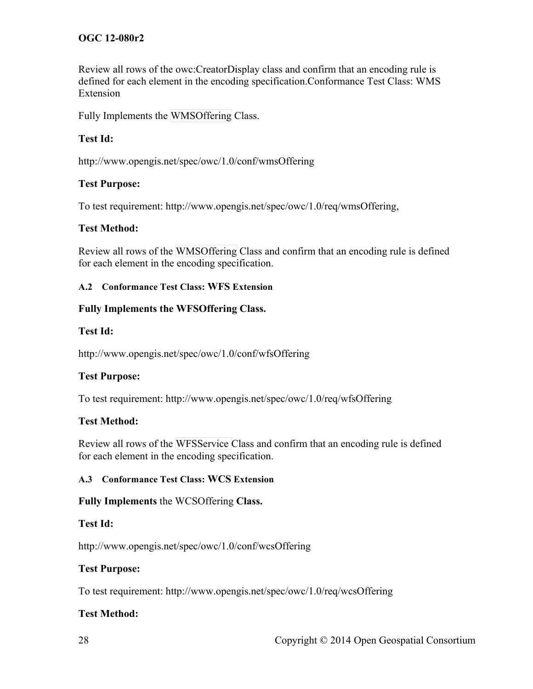Review all rows of the owc:CreatorDisplay class and confirm that an encoding rule is defined for each element in the encoding specification.Conformance Test Class: WMS Extension

Fully Implements the WMSOffering Class.

#### **Test Id:**

http://www.opengis.net/spec/owc/1.0/conf/wmsOffering

#### **Test Purpose:**

To test requirement: http://www.opengis.net/spec/owc/1.0/req/wmsOffering,

#### **Test Method:**

Review all rows of the WMSOffering Class and confirm that an encoding rule is defined for each element in the encoding specification.

#### **A.2 Conformance Test Class: WFS Extension**

#### **Fully Implements the WFSOffering Class.**

#### **Test Id:**

http://www.opengis.net/spec/owc/1.0/conf/wfsOffering

#### **Test Purpose:**

To test requirement: http://www.opengis.net/spec/owc/1.0/req/wfsOffering

#### **Test Method:**

Review all rows of the WFSService Class and confirm that an encoding rule is defined for each element in the encoding specification.

#### **A.3 Conformance Test Class: WCS Extension**

#### **Fully Implements** the WCSOffering **Class.**

#### **Test Id:**

http://www.opengis.net/spec/owc/1.0/conf/wcsOffering

#### **Test Purpose:**

To test requirement: http://www.opengis.net/spec/owc/1.0/req/wcsOffering

#### **Test Method:**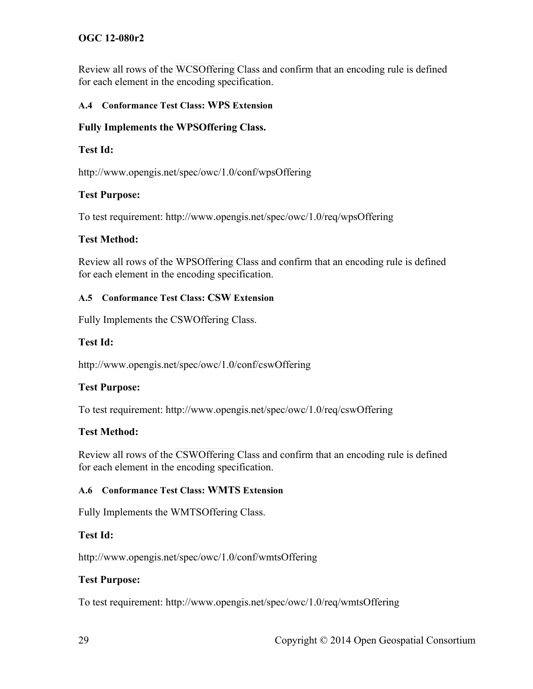Review all rows of the WCSOffering Class and confirm that an encoding rule is defined for each element in the encoding specification.

#### **A.4 Conformance Test Class: WPS Extension**

#### **Fully Implements the WPSOffering Class.**

#### **Test Id:**

http://www.opengis.net/spec/owc/1.0/conf/wpsOffering

#### **Test Purpose:**

To test requirement: http://www.opengis.net/spec/owc/1.0/req/wpsOffering

#### **Test Method:**

Review all rows of the WPSOffering Class and confirm that an encoding rule is defined for each element in the encoding specification.

#### **A.5 Conformance Test Class: CSW Extension**

Fully Implements the CSWOffering Class.

#### **Test Id:**

http://www.opengis.net/spec/owc/1.0/conf/cswOffering

#### **Test Purpose:**

To test requirement: http://www.opengis.net/spec/owc/1.0/req/cswOffering

#### **Test Method:**

Review all rows of the CSWOffering Class and confirm that an encoding rule is defined for each element in the encoding specification.

#### **A.6 Conformance Test Class: WMTS Extension**

Fully Implements the WMTSOffering Class.

#### **Test Id:**

http://www.opengis.net/spec/owc/1.0/conf/wmtsOffering

#### **Test Purpose:**

To test requirement: http://www.opengis.net/spec/owc/1.0/req/wmtsOffering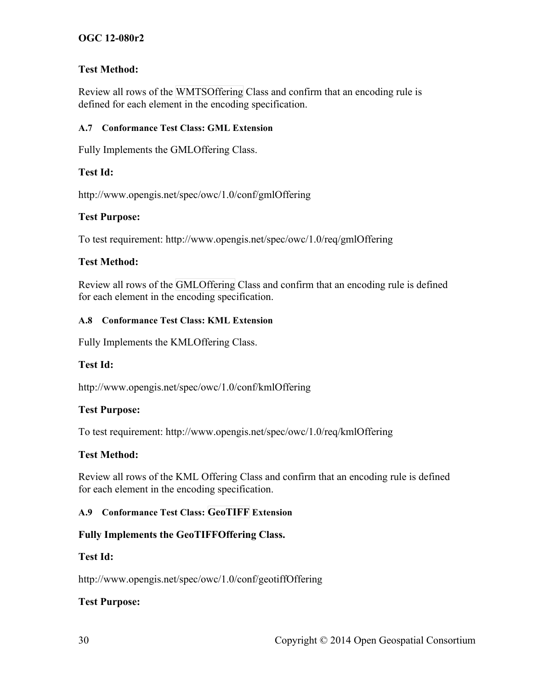#### **Test Method:**

Review all rows of the WMTSOffering Class and confirm that an encoding rule is defined for each element in the encoding specification.

#### **A.7 Conformance Test Class: GML Extension**

Fully Implements the GMLOffering Class.

#### **Test Id:**

http://www.opengis.net/spec/owc/1.0/conf/gmlOffering

#### **Test Purpose:**

To test requirement: http://www.opengis.net/spec/owc/1.0/req/gmlOffering

#### **Test Method:**

Review all rows of the GMLOffering Class and confirm that an encoding rule is defined for each element in the encoding specification.

#### **A.8 Conformance Test Class: KML Extension**

Fully Implements the KMLOffering Class.

#### **Test Id:**

http://www.opengis.net/spec/owc/1.0/conf/kmlOffering

#### **Test Purpose:**

To test requirement: http://www.opengis.net/spec/owc/1.0/req/kmlOffering

#### **Test Method:**

Review all rows of the KML Offering Class and confirm that an encoding rule is defined for each element in the encoding specification.

# **A.9 Conformance Test Class: GeoTIFF Extension**

# **Fully Implements the GeoTIFFOffering Class.**

#### **Test Id:**

http://www.opengis.net/spec/owc/1.0/conf/geotiffOffering

# **Test Purpose:**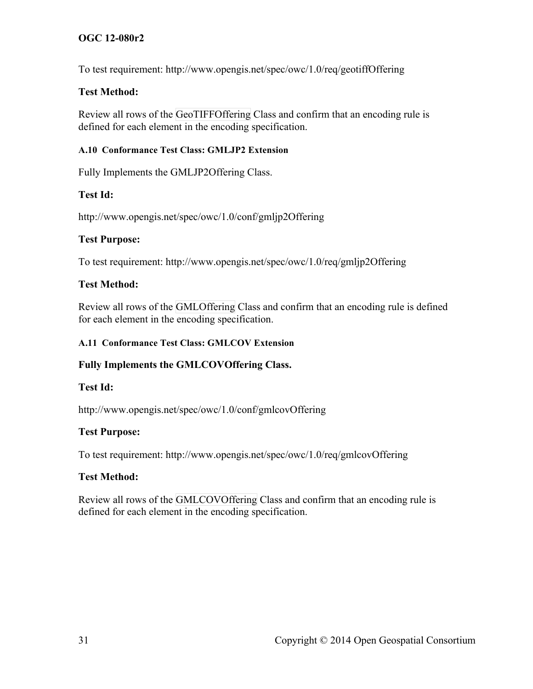To test requirement: http://www.opengis.net/spec/owc/1.0/req/geotiffOffering

#### **Test Method:**

Review all rows of the GeoTIFFOffering Class and confirm that an encoding rule is defined for each element in the encoding specification.

#### **A.10 Conformance Test Class: GMLJP2 Extension**

Fully Implements the GMLJP2Offering Class.

# **Test Id:**

http://www.opengis.net/spec/owc/1.0/conf/gmljp2Offering

#### **Test Purpose:**

To test requirement: http://www.opengis.net/spec/owc/1.0/req/gmljp2Offering

#### **Test Method:**

Review all rows of the GMLOffering Class and confirm that an encoding rule is defined for each element in the encoding specification.

#### **A.11 Conformance Test Class: GMLCOV Extension**

# **Fully Implements the GMLCOVOffering Class.**

#### **Test Id:**

http://www.opengis.net/spec/owc/1.0/conf/gmlcovOffering

# **Test Purpose:**

To test requirement: http://www.opengis.net/spec/owc/1.0/req/gmlcovOffering

#### **Test Method:**

Review all rows of the GMLCOVOffering Class and confirm that an encoding rule is defined for each element in the encoding specification.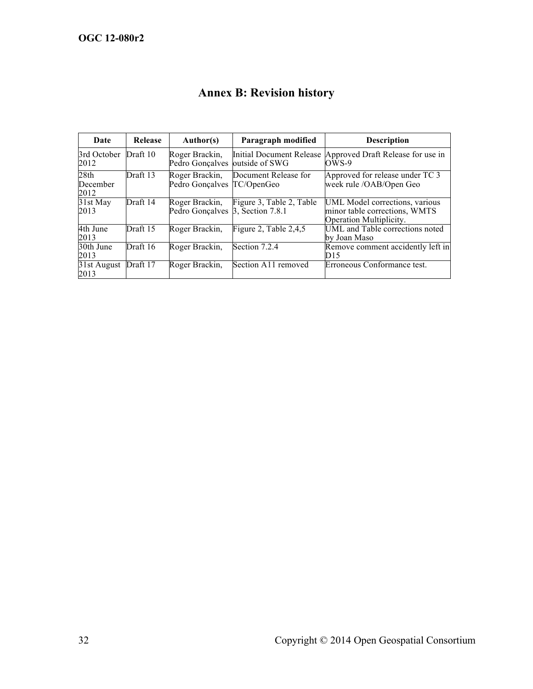| Date                                 | Release  | Author(s)                                          | Paragraph modified       | <b>Description</b>                                                                         |
|--------------------------------------|----------|----------------------------------------------------|--------------------------|--------------------------------------------------------------------------------------------|
| 3rd October<br>2012                  | Draft 10 | Roger Brackin,<br>Pedro Gonçalves                  | outside of SWG           | Initial Document Release Approved Draft Release for use in<br>$OWS-9$                      |
| 28 <sub>th</sub><br>December<br>2012 | Draft 13 | Roger Brackin,<br>Pedro Gonçalves TC/OpenGeo       | Document Release for     | Approved for release under TC 3<br>week rule /OAB/Open Geo                                 |
| 31st May<br>2013                     | Draft 14 | Roger Brackin,<br>Pedro Gonçalves 3, Section 7.8.1 | Figure 3, Table 2, Table | UML Model corrections, various<br>minor table corrections, WMTS<br>Operation Multiplicity. |
| 4th June<br>2013                     | Draft 15 | Roger Brackin,                                     | Figure 2, Table $2,4,5$  | UML and Table corrections noted<br>by Joan Maso                                            |
| 30th June<br>2013                    | Draft 16 | Roger Brackin,                                     | Section 7.2.4            | Remove comment accidently left in<br>D15                                                   |
| 31st August<br>2013                  | Draft 17 | Roger Brackin,                                     | Section A11 removed      | Erroneous Conformance test.                                                                |

# **Annex B: Revision history**